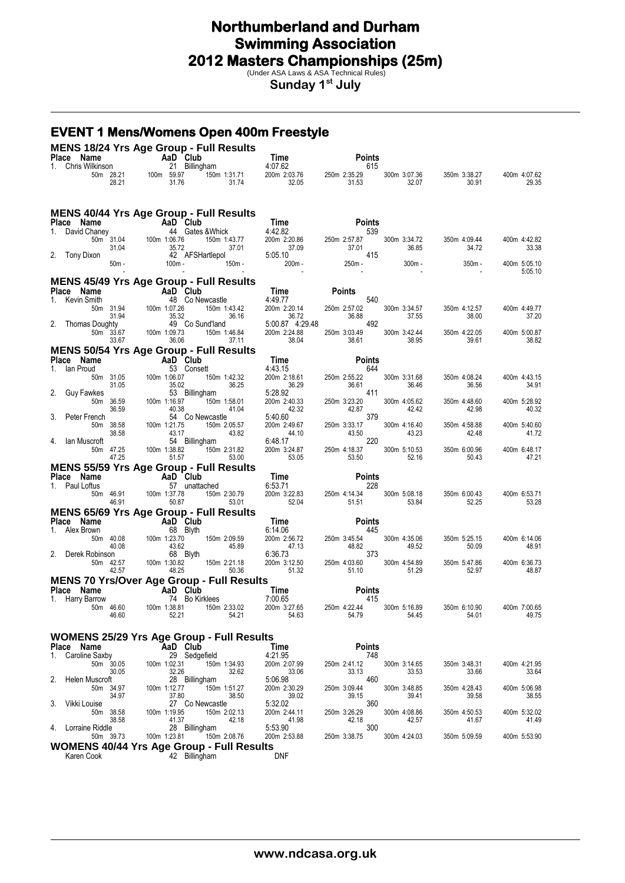**2012 Masters Championships (25m)** 

(Under ASA Laws & ASA Technical Rules) **Sunday 1st July**

### **EVENT 1 Mens/Womens Open 400m Freestyle**

|                                                                                  | MENS 18/24 Yrs Age Group - Full Results                                                                                  |                             |                                                |                       |                       |
|----------------------------------------------------------------------------------|--------------------------------------------------------------------------------------------------------------------------|-----------------------------|------------------------------------------------|-----------------------|-----------------------|
| Company Chris Wilkinson<br>Chris Wilkinson<br>50m 28.21 100m 59.97<br>Place Name | <b>Time</b><br>150m 1:31.71 4:07.62<br>150m 1:31.71 200m 2:03.76 250                                                     |                             | <b>Points</b>                                  |                       |                       |
| 1.                                                                               | 21 Billingham                                                                                                            |                             | 615<br>250m 2:35.29<br>300m 3:07.36            | 350m 3:38.27          | 400m 4:07.62          |
| 28.21                                                                            | 31.76<br>31.74                                                                                                           | 32.05                       | 31.53<br>32.07                                 | 30.91                 | 29.35                 |
|                                                                                  |                                                                                                                          |                             |                                                |                       |                       |
|                                                                                  |                                                                                                                          |                             |                                                |                       |                       |
| Place Name                                                                       | <b>MENS 40/44 Yrs Age Group - Full Results</b>                                                                           |                             | <b>Points</b>                                  |                       |                       |
| David Chaney<br>1.                                                               | <b>Manuform Club</b><br>21.04 <b>AaD</b><br>50m 31.04 100m 1:06.76<br>31.04 35.72<br>Time<br>4:42.82<br>44 Gates & Whick |                             | 539                                            |                       |                       |
|                                                                                  | 150m 1:43.77                                                                                                             | 200m 2:20.86                | 300m 3:34.72<br>250m 2:57.87                   | 350m 4:09.44          | 400m 4:42.82          |
| 2.<br>Tony Dixon                                                                 | 37.01<br>42 AFSHartlepol                                                                                                 | 37.09<br>5:05.10            | 37.01<br>36.85<br>415                          | 34.72                 | 33.38                 |
| $50m -$                                                                          | 100m -<br>150m -                                                                                                         | $200m -$                    | 250m -<br>$300m -$                             | $350m -$              | 400m 5:05.10          |
|                                                                                  | <b>MENS 45/49 Yrs Age Group - Full Results</b>                                                                           |                             |                                                |                       | 5:05.10               |
| Place Name                                                                       | me<br>mith 48 Co Newcastle<br>50m 31.94 100m 1:07.26 150m 1:4<br>31.94 35.32 3<br>Doughty 49 Co Sund'land                | Time                        | Points                                         |                       |                       |
| Kevin Smith<br>$1_{\cdot}$                                                       |                                                                                                                          | 4:49.77                     | 540                                            |                       |                       |
|                                                                                  | 150m 1:43.42<br>36.16                                                                                                    | 200m 2:20.14<br>36.72       | 250m 2:57.02<br>300m 3:34.57<br>36.88<br>37.55 | 350m 4:12.57<br>38.00 | 400m 4:49.77<br>37.20 |
| 2.<br><b>Thomas Doughty</b>                                                      |                                                                                                                          | 5:00.87 4:29.48             | 492                                            |                       |                       |
| 50m 33.67                                                                        | 100m 1:09.73<br>150m 1:46.84                                                                                             | 200m 2:24.88                | 250m 3:03.49<br>300m 3:42.44                   | 350m 4:22.05          | 400m 5:00.87          |
| 33.67                                                                            | 36.06<br>37.11                                                                                                           | 38.04                       | 38.61<br>38.95                                 | 39.61                 | 38.82                 |
| Place Name                                                                       | <b>MENS 50/54 Yrs Age Group - Full Results</b><br>AaD Club                                                               | Time                        | <b>Points</b>                                  |                       |                       |
| 1. Ian Proud                                                                     | 53 Consett                                                                                                               | 4:43.15                     | 644                                            |                       |                       |
| 50m 31.05                                                                        | 100m 1:06.07<br>150m 1:42.32                                                                                             | 200m 2:18.61<br>36.29       | 250m 2:55.22<br>300m 3:31.68                   | 350m 4:08.24          | 400m 4:43.15          |
| 31.05<br>2.<br><b>Guy Fawkes</b>                                                 | 35.02<br>36.25<br>53 Billingham                                                                                          | 36.29<br>5:28.92            | 36.61<br>36.46<br>411                          | 36.56                 | 34.91                 |
| 50m 36.59                                                                        | 100m 1:16.97<br>150m 1:58.01                                                                                             | 200m 2:40.33                | 250m 3:23.20<br>300m 4:05.62                   | 350m 4:48.60          | 400m 5:28.92          |
| 36.59<br>Peter French                                                            | 40.38<br>41.04<br>54 Co Newcastle                                                                                        | 42.32<br>5:40.60            | 42.87<br>42.42<br>379                          | 42.98                 | 40.32                 |
| 50m 38.58                                                                        | 150m 2:05.57<br>100m 1:21.75                                                                                             | 200m 2:49.67                | 300m 4:16.40<br>250m 3:33.17                   | 350m 4:58.88          | 400m 5:40.60          |
| 38.58                                                                            | 43.17<br>43.82                                                                                                           | 44.10                       | 43.23<br>43.50                                 | 42.48                 | 41.72                 |
| lan Muscroft<br>50m 47.25                                                        | 54 Billingham<br>100m 1:38.82<br>150m 2:31.82                                                                            | 6:48.17<br>200m 3:24.87     | 220<br>250m 4:18.37<br>300m 5:10.53            | 350m 6:00.96          | 400m 6:48.17          |
| 47.25                                                                            | 51.57<br>53.00                                                                                                           | 53.05                       | 52.16<br>53.50                                 | 50.43                 | 47.21                 |
|                                                                                  | <b>MENS 55/59 Yrs Age Group - Full Results</b>                                                                           |                             |                                                |                       |                       |
| Place Name<br>1. Paul Loftus                                                     | $AaD$ Club<br>57 unattached                                                                                              | Time<br>$\frac{1}{6.53.71}$ | <b>Points</b>                                  |                       |                       |
| 50m 46.91                                                                        | 100m 1:37.78<br>150m 2:30.79                                                                                             | 200m 3:22.83                | 228<br>300m 5:08.18<br>250m 4:14.34            | 350m 6:00.43          | 400m 6:53.71          |
| 46.91                                                                            | 50.87<br>53.01                                                                                                           | 52.04                       | 51.51<br>53.84                                 | 52.25                 | 53.28                 |
|                                                                                  | <b>MENS 65/69 Yrs Age Group - Full Results</b>                                                                           |                             |                                                |                       |                       |
| Place Name<br>Alex Brown<br>1.                                                   | <b>AaD Club</b><br>68 Blyth<br>40.08 100m 1:23.70                                                                        | Time<br>6:14.06             | <b>Points</b><br>445                           |                       |                       |
| 50m 40.08                                                                        | 150m 2:09.59                                                                                                             | 200m 2:56.72                | 300m 4:35.06<br>250m 3:45.54                   | 350m 5:25.15          | 400m 6:14.06          |
| 40.08                                                                            | 43.62<br>45.89                                                                                                           | 47.13<br>6:36.73            | 49.52<br>48.82<br>373                          | 50.09                 | 48.91                 |
| Derek Robinson<br>50m 42.57                                                      | 68 Blyth<br>100m 1:30.82<br>150m 2:21.18                                                                                 | 200m 3:12.50                | 250m 4:03.60<br>300m 4:54.89                   | 350m 5:47.86          | 400m 6:36.73          |
| 42.57                                                                            | 48.25<br>50.36                                                                                                           | 51.32                       | 51.10<br>51.29                                 | 52.97                 | 48.87                 |
|                                                                                  | <b>MENS 70 Yrs/Over Age Group - Full Results</b>                                                                         |                             |                                                |                       |                       |
| Place Name<br>1. Harry Barrow                                                    | AaD Club<br>74 Bo Kirklees                                                                                               | Time<br>7:00.65             | <b>Points</b><br>415                           |                       |                       |
| 50m 46.60                                                                        | 100m 1:38.81<br>150m 2:33.02                                                                                             | 200m 3:27.65                | 250m 4:22.44<br>300m 5:16.89                   | 350m 6:10.90          | 400m 7:00.65          |
| 46.60                                                                            | 52.21<br>54.21                                                                                                           | 54.63                       | 54.79<br>54.45                                 | 54.01                 | 49.75                 |
|                                                                                  |                                                                                                                          |                             |                                                |                       |                       |
| Place Name                                                                       | <b>WOMENS 25/29 Yrs Age Group - Full Results</b><br>AaD Club                                                             | Time                        | <b>Points</b>                                  |                       |                       |
| Caroline Saxby<br>1.                                                             | 29 Sedgefield                                                                                                            | 4:21.95                     | 748                                            |                       |                       |
| 50m 30.05                                                                        | 100m 1:02.31<br>150m 1:34.93                                                                                             | 200m 2:07.99                | 250m 2:41.12<br>300m 3:14.65                   | 350m 3:48.31          | 400m 4:21.95          |
| 30.05<br>2.<br>Helen Muscroft                                                    | 32.26<br>32.62<br>28 Billingham                                                                                          | 33.06<br>5:06.98            | 33.13<br>33.53<br>460                          | 33.66                 | 33.64                 |
| 50m 34.97                                                                        | 100m 1:12.77<br>150m 1:51.27                                                                                             | 200m 2:30.29                | 250m 3:09.44<br>300m 3:48.85                   | 350m 4:28.43          | 400m 5:06.98          |
| 34.97                                                                            | 37.80<br>38.50                                                                                                           | 39.02                       | 39.15<br>39.41                                 | 39.58                 | 38.55                 |
| 3.<br>Vikki Louise<br>50m 38.58                                                  | 27 Co Newcastle<br>100m 1:19.95<br>150m 2:02.13                                                                          | 5:32.02<br>200m 2:44.11     | 360<br>250m 3:26.29<br>300m 4:08.86            | 350m 4:50.53          | 400m 5:32.02          |
| 38.58                                                                            | 41.37<br>42.18                                                                                                           | 41.98                       | 42.18<br>42.57                                 | 41.67                 | 41.49                 |
| Lorraine Riddle<br>4.<br>50m 39.73                                               | 28 Billingham<br>100m 1:23.81<br>150m 2:08.76                                                                            | 5:53.90<br>200m 2:53.88     | 300<br>250m 3:38.75<br>300m 4:24.03            | 350m 5:09.59          | 400m 5:53.90          |
|                                                                                  | <b>WOMENS 40/44 Yrs Age Group - Full Results</b>                                                                         |                             |                                                |                       |                       |
| Karen Cook                                                                       | 42 Billingham                                                                                                            | <b>DNF</b>                  |                                                |                       |                       |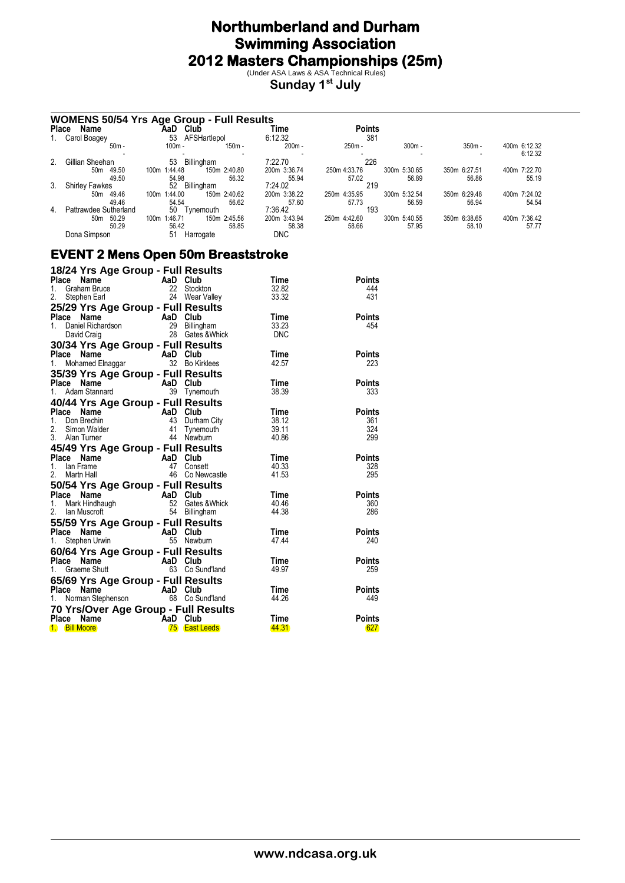### **Northumberland and Durham Swimming Association 2012 Masters Championships (25m)**

(Under ASA Laws & ASA Technical Rules) **Sunday 1st July**

|              | <b>WOMENS 50/54 Yrs Age Group - Full Results</b> |                   |              |                 |                      |              |              |              |
|--------------|--------------------------------------------------|-------------------|--------------|-----------------|----------------------|--------------|--------------|--------------|
| <b>Place</b> | Name<br>1. Carol Boagey                          | AaD<br>Club<br>53 | AFSHartlepol | Time<br>6:12.32 | <b>Points</b><br>381 |              |              |              |
|              | $50m -$                                          | $100m -$          | 150m -       | $200m -$        | $250m -$             | $300m -$     | $350m -$     | 400m 6:12.32 |
| 2.           | ۰<br>Gillian Sheehan                             |                   |              | 7:22.70         | 226                  |              |              | 6:12.32      |
|              |                                                  | Billingham<br>53  |              |                 |                      |              |              |              |
|              | 50m 49.50                                        | 100m 1:44.48      | 150m 2:40.80 | 200m 3:36.74    | 250m 4:33.76         | 300m 5:30.65 | 350m 6:27.51 | 400m 7:22.70 |
|              | 49.50                                            | 54.98             | 56.32        | 55.94           | 57.02                | 56.89        | 56.86        | 55.19        |
| 3.           | <b>Shirley Fawkes</b>                            | Billingham<br>52  |              | 7:24.02         | 219                  |              |              |              |
|              | 49.46<br>50m                                     | 100m 1:44.00      | 150m 2:40.62 | 200m 3:38.22    | 250m 4:35.95         | 300m 5:32.54 | 350m 6:29.48 | 400m 7:24.02 |
|              | 49.46                                            | 54.54             | 56.62        | 57.60           | 57.73                | 56.59        | 56.94        | 54.54        |
| 4.           | Pattrawdee Sutherland                            | 50<br>Tynemouth   |              | 7:36.42         | 193                  |              |              |              |
|              | 50m 50.29                                        | 100m 1:46.71      | 150m 2:45.56 | 200m 3:43.94    | 250m 4:42.60         | 300m 5:40.55 | 350m 6:38.65 | 400m 7:36.42 |
|              | 50.29                                            | 56.42             | 58.85        | 58.38           | 58.66                | 57.95        | 58.10        | 57.77        |
|              | Dona Simpson                                     | 51<br>Harrogate   |              | DNC             |                      |              |              |              |

#### **EVENT 2 Mens Open 50m Breaststroke**

| 18/24 Yrs Age Group - Full Results                                                                                                                                                                                                      |                 |             |               |
|-----------------------------------------------------------------------------------------------------------------------------------------------------------------------------------------------------------------------------------------|-----------------|-------------|---------------|
| Place<br>Comment of the Manne Club<br>Graham Bruce 22 Stockton<br>Stephen Earl 24 Wear Valley                                                                                                                                           |                 | Time        | <b>Points</b> |
| $1_{\ldots}$                                                                                                                                                                                                                            |                 | 32.82       | 444           |
| 2.                                                                                                                                                                                                                                      |                 | 33.32       | 431           |
| 25/29 Yrs Age Group - Full Results                                                                                                                                                                                                      |                 |             |               |
| Place<br>Compared to the Capital Capital Capital Capital Capital Capital Capital Capital Capital Capital Capital Capital Capital Capital Capital Capital Capital Capital Capital Capital Capital Capital Capital Capital Capital Capita |                 | Time        | <b>Points</b> |
| $1_{-}$                                                                                                                                                                                                                                 |                 | 33.23       | 454           |
|                                                                                                                                                                                                                                         |                 | <b>DNC</b>  |               |
| 30/34 Yrs Age Group - Full Results                                                                                                                                                                                                      |                 |             |               |
| <b>Place Name</b><br>1. Mohamed Elnaggar<br>1. Mohamed Elnaggar<br>1. Specifical Bookirklees                                                                                                                                            |                 | <b>Time</b> | <b>Points</b> |
|                                                                                                                                                                                                                                         |                 | 42.57       | 223           |
| 35/39 Yrs Age Group - Full Results                                                                                                                                                                                                      |                 |             |               |
| <b>Piace Name</b><br>1. Adam Stannard <b>AaD Club</b><br>39 Tvnen                                                                                                                                                                       |                 | Time        | <b>Points</b> |
|                                                                                                                                                                                                                                         | 39 Tynemouth    | 38.39       | 333           |
| 40/44 Yrs Age Group - Full Results                                                                                                                                                                                                      |                 |             |               |
| <b>Place Name Manne AaD Club</b><br>1. Don Brechin 43 Durham C<br>2. Simon Walder 41 Tynemout<br>3. Alan Turner 44 Newburn                                                                                                              |                 | Time        | <b>Points</b> |
|                                                                                                                                                                                                                                         | Durham City     | 38.12       | 361           |
|                                                                                                                                                                                                                                         | Tynemouth       | 39.11       | 324           |
|                                                                                                                                                                                                                                         |                 | 40.86       | 299           |
| 45/49 Yrs Age Group - Full Results                                                                                                                                                                                                      |                 |             |               |
| <b>Place Name</b><br>1. Ian Frame <b>AaD</b> Club<br>47 Conse                                                                                                                                                                           |                 | Time        | <b>Points</b> |
|                                                                                                                                                                                                                                         | Consett         | 40.33       | 328           |
| Martn Hall<br>2 <sup>1</sup>                                                                                                                                                                                                            | 46 Co Newcastle | 41.53       | 295           |
| 50/54 Yrs Age Group - Full Results                                                                                                                                                                                                      |                 |             |               |
| Place<br><b>Ce Name AaD Club</b><br>Mark Hindhaugh 52 Gates & Whick<br>Ian Muscroft 54 Billingham                                                                                                                                       |                 | Time        | <b>Points</b> |
| 1.                                                                                                                                                                                                                                      |                 | 40.46       | 360           |
| 2 <sup>1</sup>                                                                                                                                                                                                                          |                 | 44.38       | 286           |
| 55/59 Yrs Age Group - Full Results                                                                                                                                                                                                      |                 |             |               |
| Place Name<br>Place Name<br>1. Stephen Urwin 55 Newburn                                                                                                                                                                                 |                 | Time        | <b>Points</b> |
|                                                                                                                                                                                                                                         |                 | 47.44       | 240           |
| 60/64 Yrs Age Group - Full Results                                                                                                                                                                                                      |                 |             |               |
| Place Name<br>1. Graeme Shutt 63 Co Su                                                                                                                                                                                                  |                 | Time        | <b>Points</b> |
|                                                                                                                                                                                                                                         | 63 Co Sund'land | 49.97       | 259           |
| 65/69 Yrs Age Group - Full Results                                                                                                                                                                                                      |                 |             |               |
|                                                                                                                                                                                                                                         |                 | Time        | <b>Points</b> |
| Place Name <b>AaD Club</b><br>1. Norman Stephenson 68 Co Sund'land                                                                                                                                                                      |                 | 44.26       | 449           |
| 70 Yrs/Over Age Group - Full Results                                                                                                                                                                                                    |                 |             |               |
| Place<br>Name                                                                                                                                                                                                                           |                 | Time        | <b>Points</b> |
| AaD Club آ<br><mark>75 East L</mark><br>1. Bill Moore                                                                                                                                                                                   | 75 East Leeds   | 44.31       | 627           |
|                                                                                                                                                                                                                                         |                 |             |               |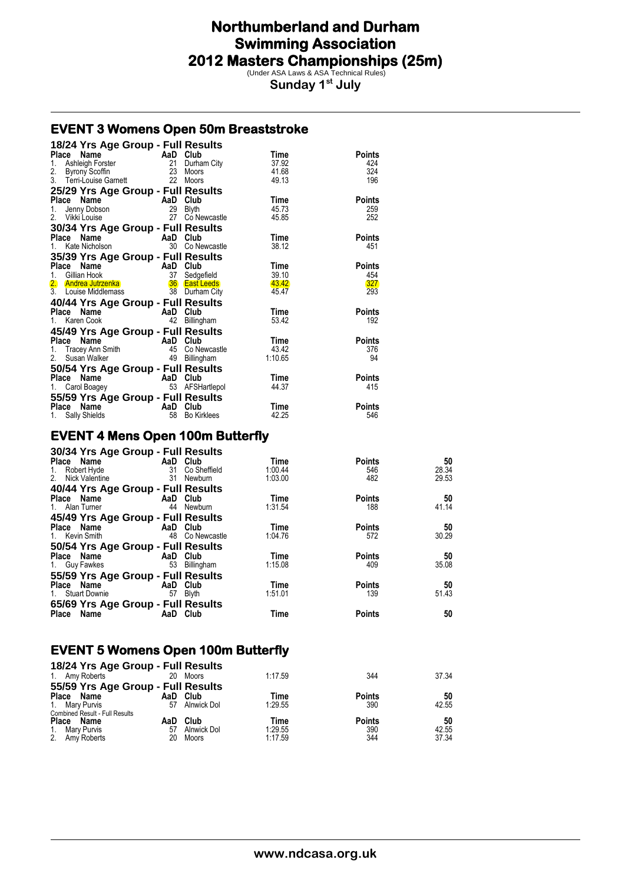**2012 Masters Championships (25m)** 

(Under ASA Laws & ASA Technical Rules) **Sunday 1st July**

### **EVENT 3 Womens Open 50m Breaststroke**

| 18/24 Yrs Age Group - Full Results                                                                                                            |                |                    |         |               |
|-----------------------------------------------------------------------------------------------------------------------------------------------|----------------|--------------------|---------|---------------|
| <b>Ce Name</b><br><b>AaD Club</b><br>Ashleigh Forster<br><b>Company Configuration</b><br>$21$ Durham City<br><b>Durham City</b><br>Place Name |                |                    | Time    | Points        |
| 1.                                                                                                                                            |                |                    | 37.92   | 424           |
| 2. Byrony Scoffin                                                                                                                             | 23 Moors       |                    | 41.68   | 324           |
| 3. Terri-Louise Garnett                                                                                                                       | 22             | Moors              | 49.13   | 196           |
| 25/29 Yrs Age Group - Full Results                                                                                                            |                |                    |         |               |
| AaD Club<br>Place Name                                                                                                                        |                |                    | Time    | Points        |
| Jenny Dobson<br>1.                                                                                                                            | 29 Blyth       |                    | 45.73   | 259           |
| 2. Vikki Louise                                                                                                                               | 27             | Co Newcastle       | 45.85   | 252           |
| 30/34 Yrs Age Group - Full Results                                                                                                            |                |                    |         |               |
| <b>Place Name</b><br>1. Kate Nicholson <b>AaD</b> Club<br>30 Co Ne                                                                            |                |                    | Time    | Points        |
|                                                                                                                                               |                | 30 Co Newcastle    | 38.12   | 451           |
| 35/39 Yrs Age Group - Full Results                                                                                                            |                |                    |         |               |
| Place Name AaD Club                                                                                                                           |                |                    | Time    | <b>Points</b> |
| 1 acc 11 accords<br>1. Gillian Hook 1 37 Sedgefield<br>2. Andrea Jutrzenka 1 36 East Leeds                                                    |                |                    | 39.10   | 454           |
|                                                                                                                                               |                |                    | 43.42   | 327           |
| 3. Louise Middlemass                                                                                                                          |                | 38 Durham City     | 45.47   | 293           |
| 40/44 Yrs Age Group - Full Results                                                                                                            |                |                    |         |               |
|                                                                                                                                               |                |                    | Time    | Points        |
| <b>Place Name</b><br>1. Karen Cook <b>AaD</b> Club<br>42 Billing<br>1. Karen Cook                                                             |                | 42 Billingham      | 53.42   | 192           |
| 45/49 Yrs Age Group - Full Results                                                                                                            |                |                    |         |               |
| Place Name                                                                                                                                    | AaD Club       |                    | Time    | Points        |
| 1. Tracey Ann Smith 45 Co Newcastle                                                                                                           |                |                    | 43.42   | 376           |
| 2. Susan Walker                                                                                                                               |                | 49 Billingham      | 1:10.65 | 94            |
| 50/54 Yrs Age Group - Full Results                                                                                                            |                |                    |         |               |
| AaD Club<br>Place Name                                                                                                                        |                |                    | Time    | <b>Points</b> |
| Carol Boagey <b>Example 20</b><br>1.                                                                                                          |                | 53 AFSHartlepol    | 44.37   | 415           |
| 55/59 Yrs Age Group - Full Results                                                                                                            |                |                    |         |               |
| Place Name                                                                                                                                    |                |                    | Time    | Points        |
| 1. Sally Shields                                                                                                                              | AaD Club<br>58 | <b>Bo Kirklees</b> | 42.25   | 546           |
|                                                                                                                                               |                |                    |         |               |

### **EVENT 4 Mens Open 100m Butterfly**

| 30/34 Yrs Age Group - Full Results |          |                 |         |               |       |
|------------------------------------|----------|-----------------|---------|---------------|-------|
| Place Name                         | AaD Club |                 | Time    | <b>Points</b> | 50    |
| Robert Hyde<br>1.                  | 31       | Co Sheffield    | 1:00.44 | 546           | 28.34 |
| 2. Nick Valentine                  |          | 31 Newburn      | 1:03.00 | 482           | 29.53 |
| 40/44 Yrs Age Group - Full Results |          |                 |         |               |       |
| Place Name                         | AaD Club |                 | Time    | <b>Points</b> | 50    |
| 1. Alan Turner                     |          | 44 Newburn      | 1:31.54 | 188           | 41.14 |
| 45/49 Yrs Age Group - Full Results |          |                 |         |               |       |
| Place Name                         | AaD Club |                 | Time    | <b>Points</b> | 50    |
| 1. Kevin Smith                     |          | 48 Co Newcastle | 1:04.76 | 572           | 30.29 |
| 50/54 Yrs Age Group - Full Results |          |                 |         |               |       |
| Place Name                         | AaD Club |                 | Time    | <b>Points</b> | 50    |
| 1. Guy Fawkes                      |          | 53 Billingham   | 1:15.08 | 409           | 35.08 |
| 55/59 Yrs Age Group - Full Results |          |                 |         |               |       |
| Place Name                         | AaD Club |                 | Time    | <b>Points</b> | 50    |
| 1. Stuart Downie                   |          | 57 Blyth        | 1:51.01 | 139           | 51.43 |
| 65/69 Yrs Age Group - Full Results |          |                 |         |               |       |
| <b>Place</b><br>Name               | AaD Club |                 | Time    | <b>Points</b> | 50    |

### **EVENT 5 Womens Open 100m Butterfly**

| 18/24 Yrs Age Group - Full Results |     |             |         |               |       |
|------------------------------------|-----|-------------|---------|---------------|-------|
| 1. Amy Roberts                     | 20  | Moors       | 1:17.59 | 344           | 37.34 |
| 55/59 Yrs Age Group - Full Results |     |             |         |               |       |
| Place Name                         |     | AaD Club    | Time    | <b>Points</b> | 50    |
| 1. Mary Purvis                     | 57  | Alnwick Dol | 1:29.55 | 390           | 42.55 |
| Combined Result - Full Results     |     |             |         |               |       |
| <b>Place</b><br>Name               | AaD | Club        | Time    | <b>Points</b> | 50    |
| 1. Mary Purvis                     | 57  | Alnwick Dol | 1:29.55 | 390           | 42.55 |
| 2. Amy Roberts                     | 20  | Moors       | 1:17.59 | 344           | 37.34 |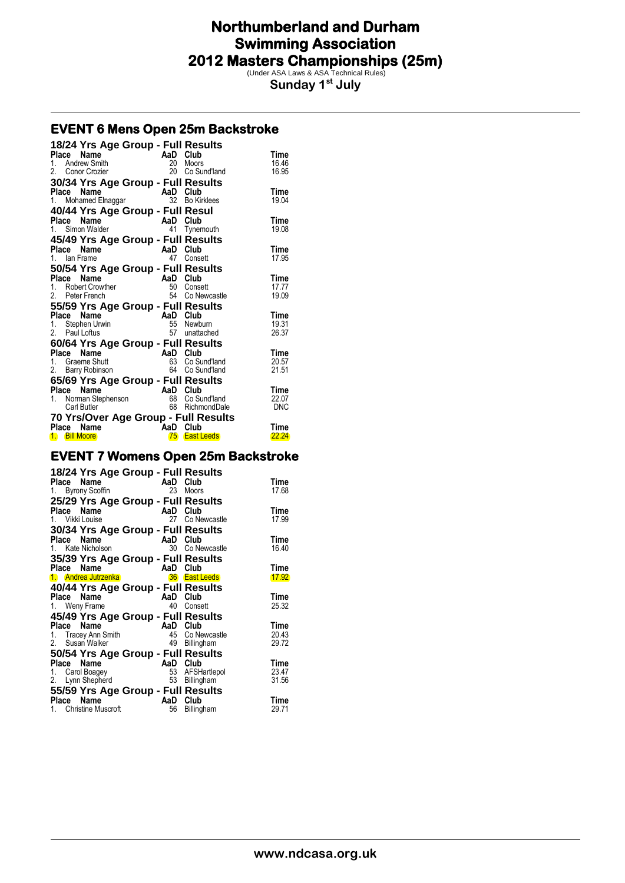**2012 Masters Championships (25m)** 

(Under ASA Laws & ASA Technical Rules) **Sunday 1st July**

### **EVENT 6 Mens Open 25m Backstroke**

| 18/24 Yrs Age Group - Full Results                                                                           |          |                      |            |
|--------------------------------------------------------------------------------------------------------------|----------|----------------------|------------|
| <b>Place Name AaD Club</b><br>1. Andrew Smith 20 Moors<br>2. Conor Crozier 20 Co Sund'land                   |          |                      | Time       |
|                                                                                                              |          |                      | 16.46      |
|                                                                                                              |          |                      | 16.95      |
| 30/34 Yrs Age Group - Full Results                                                                           |          |                      |            |
|                                                                                                              |          |                      | Time       |
| <b>Place Name Capaca AaD Club</b><br>1. Mohamed Elnaggar 32 Bo Kirklees                                      |          |                      | 19.04      |
| 40/44 Yrs Age Group - Full Resul                                                                             |          |                      |            |
|                                                                                                              |          |                      | Time       |
| <b>Place Name</b><br>1. Simon Walder <b>Canadia 1 AaD Club</b>                                               |          | Tynemouth            | 19.08      |
| 45/49 Yrs Age Group - Full Results                                                                           |          |                      |            |
| <b>Place Name</b><br>1. Ian Frame                                                                            | AaD Club |                      | Time       |
|                                                                                                              |          | 47 Consett           | 17.95      |
| <b>50/54 Yrs Age Group - Full Results<br/>Place Name AaD Club<br/>1. Robert Crowther 60 Consett</b>          |          |                      |            |
|                                                                                                              |          |                      | Time       |
|                                                                                                              |          |                      | 17.77      |
| <b>Place Name</b><br>1. Robert Crowther<br>2. Peter French<br>2. Peter French<br>54 Co Ne                    |          | 54 Co Newcastle      | 19.09      |
| 55/59 Yrs Age Group - Full Results                                                                           |          |                      |            |
|                                                                                                              |          |                      | Time       |
|                                                                                                              |          | 55 Newburn           | 19.31      |
| Prace Name<br>1. Stephen Unvin 55 Newburg<br>2. Paul Loftus 57 Junation                                      |          | 57 unattached        | 26.37      |
| 60/64 Yrs Age Group - Full Results                                                                           |          |                      |            |
| Place Name AaD Club Time<br>1. Graeme Shutt 63 Co Sund'land 20.57<br>2. Barry Robinson 64 Co Sund'land 21.51 |          | Time                 |            |
|                                                                                                              |          |                      |            |
|                                                                                                              |          |                      |            |
| 65/69 Yrs Age Group - Full Results                                                                           |          |                      |            |
| <b>Place Name AaD Club</b><br>1. Norman Stephenson 68 Co Sund'land<br>Carl Butler 68 RichmondDale            |          |                      | Time       |
|                                                                                                              |          | 22.07                |            |
|                                                                                                              |          |                      | <b>DNC</b> |
| 70 Yrs/Over Age Group - Full Results                                                                         |          |                      |            |
| Place Name                                                                                                   | AaD Club |                      | Time       |
| 1. Bill Moore                                                                                                |          | <b>75 East Leeds</b> | 22.24      |

### **EVENT 7 Womens Open 25m Backstroke**

| 18/24 Yrs Age Group - Full Results                  |                    |       |
|-----------------------------------------------------|--------------------|-------|
| Place<br>Name                                       | AaD Club           | Time  |
| 1. Byrony Scoffin                                   | 23<br>Moors        | 17.68 |
| 25/29 Yrs Age Group - Full Results                  |                    |       |
| Place<br>Name                                       | AaD Club           | Time  |
| 1. Vikki Louise                                     | 27<br>Co Newcastle | 17.99 |
| 30/34 Yrs Age Group - Full Results                  |                    |       |
| Place Name                                          | AaD Club           | Time  |
| 1. Kate Nicholson                                   | 30<br>Co Newcastle | 16.40 |
| 35/39 Yrs Age Group - Full Results                  |                    |       |
|                                                     | AaD Club           | Time  |
| <b>Piace Name</b><br>1. Andrea Jutrzenka            | 36 East Leeds      | 17.92 |
| 40/44 Yrs Age Group - Full Results                  |                    |       |
| Name<br>Place                                       | AaD Club           | Time  |
| 1. Weny Frame                                       | 40<br>Consett      | 25.32 |
| 45/49 Yrs Age Group - Full Results                  |                    |       |
| Place Name                                          | AaD Club           | Time  |
| 1. Tracey Ann Smith                                 | 45 Co Newcastle    | 20.43 |
| Susan Walker<br>2.                                  | 49<br>Billingham   | 29.72 |
| 50/54 Yrs Age Group - Full Results                  |                    |       |
|                                                     |                    |       |
| Place<br>Name                                       | AaD Club           | Time  |
| 1. Carol Boagey                                     | 53 AFSHartlepol    | 23.47 |
| 2. Lynn Shepherd                                    | 53<br>Billingham   | 31.56 |
|                                                     |                    |       |
| 55/59 Yrs Age Group - Full Results<br>Name<br>Place | AaD<br>Club        | Time  |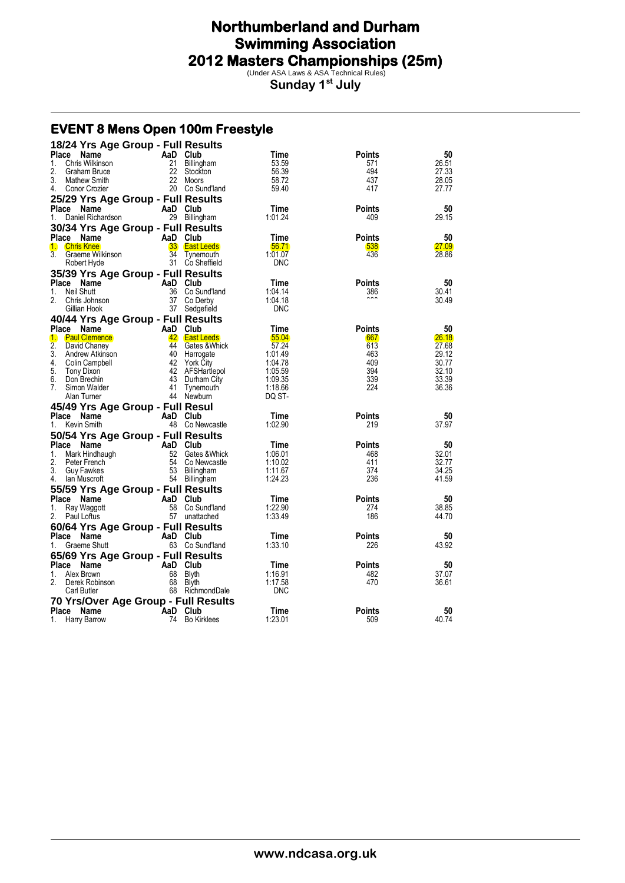**2012 Masters Championships (25m)** 

(Under ASA Laws & ASA Technical Rules) **Sunday 1st July**

### **EVENT 8 Mens Open 100m Freestyle**

| 18/24 Yrs Age Group - Full Results                                        |          |                                      |                    |                      |                |
|---------------------------------------------------------------------------|----------|--------------------------------------|--------------------|----------------------|----------------|
| Place<br>Name                                                             | AaD Club |                                      | Time               | <b>Points</b>        | 50             |
| Chris Wilkinson<br>1.                                                     |          | 21 Billingham                        | 53.59              | 571                  | 26.51          |
| 2.<br>Graham Bruce                                                        |          | 22 Stockton                          | 56.39              | 494                  | 27.33          |
| 3.<br>Mathew Smith                                                        |          | 22 Moors                             | 58.72              | 437                  | 28.05          |
| 4.<br>Conor Crozier                                                       |          | 20 Co Sund'land                      | 59.40              | 417                  | 27.77          |
| 25/29 Yrs Age Group - Full Results                                        |          |                                      |                    |                      |                |
| Place Name                                                                |          | AaD Club                             | Time<br>1:01.24    | <b>Points</b>        | 50<br>29.15    |
| 1.<br>Daniel Richardson                                                   |          | 29 Billingham                        |                    | 409                  |                |
| 30/34 Yrs Age Group - Full Results                                        |          |                                      |                    |                      |                |
| Place Name                                                                |          | AaD Club                             | Time               | <b>Points</b>        | 50             |
| <b>Chris Knee</b><br>$\mathbf{1}$<br>$\overline{3}$ .<br>Graeme Wilkinson |          | <b>33</b> East Leeds<br>34 Tynemouth | 56.71<br>1:01.07   | 538<br>436           | 27.09<br>28.86 |
| Robert Hyde                                                               |          | 31 Co Sheffield                      | <b>DNC</b>         |                      |                |
| 35/39 Yrs Age Group - Full Results                                        |          |                                      |                    |                      |                |
| Place Name                                                                |          | AaD Club                             | Time               | <b>Points</b>        | 50             |
| 1.<br><b>Neil Shutt</b>                                                   |          | 36 Co Sund'land                      | 1:04.14            | 386                  | 30.41          |
| 2.<br>Chris Johnson                                                       |          | 37 Co Derby                          | 1:04.18            |                      | 30.49          |
| Gillian Hook                                                              |          | 37 Sedgefield                        | <b>DNC</b>         |                      |                |
| 40/44 Yrs Age Group - Full Results                                        |          |                                      |                    |                      |                |
| Place Name                                                                |          | AaD Club                             | Time               | <b>Points</b>        | 50             |
| <b>Paul Clemence</b><br>$\mathbf{1}$                                      |          | 42 East Leeds                        | 55.04              | 667                  | 26.18          |
| $\overline{2}$ .<br>David Chaney                                          |          | 44 Gates & Whick                     | 57.24              | 613                  | 27.68          |
| 3.<br>Andrew Atkinson                                                     |          | 40 Harrogate                         | 1:01.49            | 463                  | 29.12          |
| 4.<br>Colin Campbell                                                      |          | 42 York City                         | 1:04.78            | 409                  | 30.77          |
| 5.<br>Tony Dixon<br>6.<br>Don Brechin                                     |          | 42 AFSHartlepol<br>43 Durham City    | 1:05.59<br>1:09.35 | 394<br>339           | 32.10<br>33.39 |
| 7.<br>Simon Walder                                                        |          | 41 Tynemouth                         | 1:18.66            | 224                  | 36.36          |
| Alan Turner                                                               |          | 44 Newburn                           | DQ ST-             |                      |                |
| 45/49 Yrs Age Group - Full Resul                                          |          |                                      |                    |                      |                |
| Place Name                                                                |          | AaD Club                             | Time               | <b>Points</b>        | 50             |
|                                                                           |          |                                      |                    |                      |                |
| 1.                                                                        |          |                                      | 1:02.90            | 219                  |                |
| Kevin Smith                                                               |          | 48 Co Newcastle                      |                    |                      | 37.97          |
| 50/54 Yrs Age Group - Full Results                                        |          |                                      |                    |                      |                |
| Place Name<br>1.                                                          | AaD Club |                                      | Time               | <b>Points</b><br>468 | 50             |
| Mark Hindhaugh<br>2.<br>Peter French                                      |          | 52 Gates & Whick<br>54 Co Newcastle  | 1:06.01<br>1:10.02 | 411                  | 32.01<br>32.77 |
| 3.<br>Guy Fawkes                                                          |          | 53 Billingham                        | 1:11.67            | 374                  | 34.25          |
| 4.<br>lan Muscroft                                                        |          | 54 Billingham                        | 1:24.23            | 236                  | 41.59          |
| 55/59 Yrs Age Group - Full Results                                        |          |                                      |                    |                      |                |
| Place Name                                                                |          | AaD Club                             | Time               | <b>Points</b>        | 50             |
| 1.<br>Ray Waggott                                                         |          | 58 Co Sund'land                      | 1:22.90            | 274                  | 38.85          |
| 2.<br>Paul Loftus                                                         |          | 57 unattached                        | 1:33.49            | 186                  | 44.70          |
| 60/64 Yrs Age Group - Full Results                                        |          |                                      |                    |                      |                |
| Place Name                                                                |          | AaD Club                             | Time               | <b>Points</b>        | 50             |
| Graeme Shutt<br>1.                                                        |          | 63 Co Sund'land                      | 1:33.10            | 226                  | 43.92          |
| 65/69 Yrs Age Group - Full Results                                        |          |                                      |                    |                      |                |
| Place Name                                                                |          | AaD Club                             | Time               | <b>Points</b>        | 50             |
| 1.<br>Alex Brown                                                          |          | 68 Blyth                             | 1:16.91            | 482                  | 37.07          |
| 2.<br>Derek Robinson                                                      |          | 68 Blyth                             | 1:17.58            | 470                  | 36.61          |
| Carl Butler                                                               |          | 68 RichmondDale                      | DNC                |                      |                |
| 70 Yrs/Over Age Group - Full Results                                      |          |                                      |                    |                      |                |
| Place Name<br>1. Harry Barrow                                             | AaD Club | 74 Bo Kirklees                       | Time<br>1:23.01    | <b>Points</b><br>509 | 50<br>40.74    |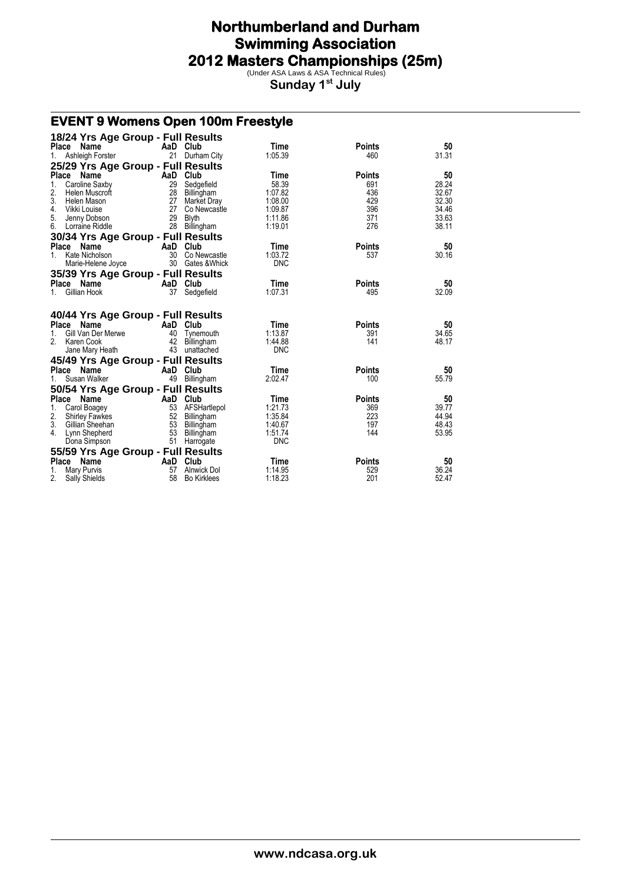**2012 Masters Championships (25m)** 

(Under ASA Laws & ASA Technical Rules) **Sunday 1st July**

#### **EVENT 9 Womens Open 100m Freestyle**

| 18/24 Yrs Age Group - Full Results              |          |                                   |                    |               |                |
|-------------------------------------------------|----------|-----------------------------------|--------------------|---------------|----------------|
| Name<br><b>Place</b>                            |          | AaD Club                          | Time               | <b>Points</b> | 50             |
| Ashleigh Forster<br>1.                          | 21       | Durham City                       | 1:05.39            | 460           | 31.31          |
| 25/29 Yrs Age Group - Full Results              |          |                                   |                    |               |                |
| Place<br>Name                                   | AaD Club |                                   | Time               | <b>Points</b> | 50             |
| 1.<br>Caroline Saxby                            | 29       | Sedgefield                        | 58.39              | 691           | 28.24          |
| 2.<br>Helen Muscroft                            | 28       | Billingham                        | 1:07.82            | 436           | 32.67          |
| 3.<br>Helen Mason                               | 27       | Market Dray                       | 1:08.00            | 429           | 32.30          |
| 4.<br>Vikki Louise                              | 27       | Co Newcastle                      | 1:09.87            | 396           | 34.46          |
| 5.<br>Jenny Dobson                              | 29       | <b>B</b> lvth                     | 1:11.86            | 371           | 33.63          |
| 6.<br>Lorraine Riddle                           | 28       | Billingham                        | 1:19.01            | 276           | 38.11          |
| 30/34 Yrs Age Group - Full Results              |          |                                   |                    |               |                |
| Place<br>Name                                   | AaD      | Club                              | Time               | <b>Points</b> | 50             |
| Kate Nicholson<br>1.                            | 30       | Co Newcastle                      | 1:03.72            | 537           | 30.16          |
| Marie-Helene Joyce                              | 30       | Gates &Whick                      | <b>DNC</b>         |               |                |
| 35/39 Yrs Age Group - Full Results              |          |                                   |                    |               |                |
| Name<br>Place                                   | AaD      | Club                              | Time               | <b>Points</b> | 50             |
| Gillian Hook<br>1.                              | 37       | Sedgefield                        | 1:07.31            | 495           | 32.09          |
|                                                 |          |                                   |                    |               |                |
|                                                 |          |                                   |                    |               |                |
|                                                 |          |                                   |                    |               |                |
| 40/44 Yrs Age Group - Full Results              |          |                                   |                    |               |                |
| Place Name                                      |          | AaD Club                          | Time               | <b>Points</b> | 50             |
| Gill Van Der Merwe<br>1.                        | 40       | Tynemouth                         | 1:13.87            | 391           | 34.65          |
| 2.<br>Karen Cook                                | 42       | Billingham                        | 1:44.88            | 141           | 48.17          |
| Jane Mary Heath                                 | 43       | unattached                        | <b>DNC</b>         |               |                |
| 45/49 Yrs Age Group - Full Results              |          |                                   |                    |               |                |
| Place<br><b>Name</b>                            | AaD      | Club                              | Time               | <b>Points</b> | 50             |
| Susan Walker<br>1.                              | 49       | Billingham                        | 2:02.47            | 100           | 55.79          |
| 50/54 Yrs Age Group - Full Results              |          |                                   |                    |               |                |
| Place<br>Name                                   | AaD Club |                                   | Time               | <b>Points</b> | 50             |
| Carol Boagey<br>1.                              | 53       | AFSHartlepol                      | 1:21.73            | 369           | 39.77          |
| 2.<br><b>Shirley Fawkes</b>                     | 52       | Billingham                        | 1:35.84            | 223           | 44.94          |
| 3.<br>Gillian Sheehan                           | 53       | Billingham                        | 1:40.67            | 197           | 48.43          |
| 4.<br>Lynn Shepherd                             | 53       | Billingham                        | 1:51.74            | 144           | 53.95          |
| Dona Simpson                                    | 51       | Harrogate                         | <b>DNC</b>         |               |                |
| 55/59 Yrs Age Group - Full Results              |          |                                   |                    |               |                |
| Place<br>Name                                   |          | AaD Club                          | Time               | <b>Points</b> | 50             |
| 1.<br>Mary Purvis<br>2.<br><b>Sally Shields</b> | 57<br>58 | Alnwick Dol<br><b>Bo Kirklees</b> | 1:14.95<br>1:18.23 | 529<br>201    | 36.24<br>52.47 |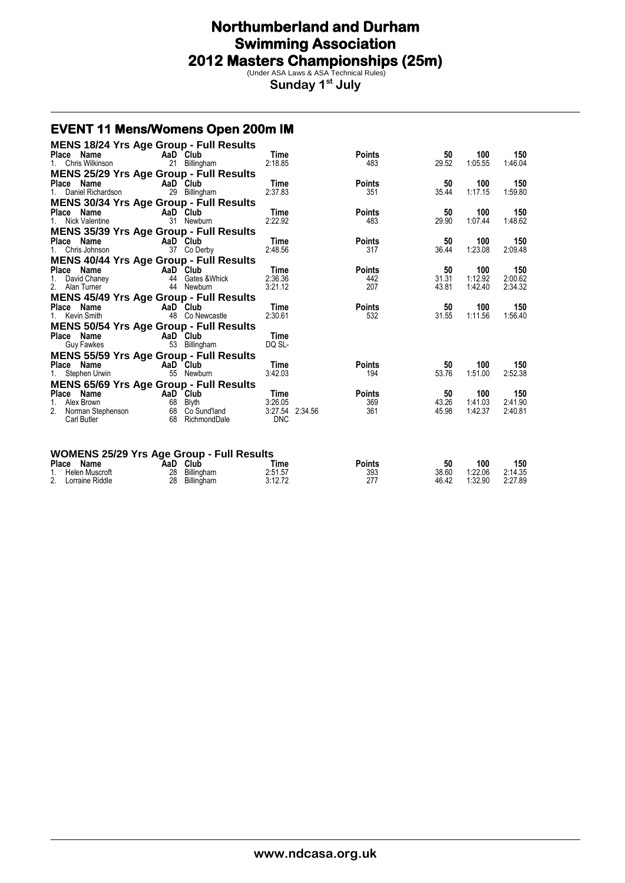**2012 Masters Championships (25m)** 

(Under ASA Laws & ASA Technical Rules) **Sunday 1st July**

### **EVENT 11 Mens/Womens Open 200m IM**

|                                                          |          | MENS 18/24 Yrs Age Group - Full Results |                 |                      |             |                |                |
|----------------------------------------------------------|----------|-----------------------------------------|-----------------|----------------------|-------------|----------------|----------------|
| Place Name                                               |          | AaD Club                                | Time            | <b>Points</b>        | 50          | 100            | 150            |
| 1. Chris Wilkinson                                       |          | 21 Billingham                           | 2:18.85         | 483                  | 29.52       | 1:05.55        | 1:46.04        |
| <b>MENS 25/29 Yrs Age Group - Full Results</b>           |          |                                         |                 |                      |             |                |                |
| Place Name<br><b>Example 2</b> AaD Club                  |          |                                         | <b>Time</b>     | <b>Points</b>        | 50          | 100            | 150            |
| 1. Daniel Richardson                                     |          | 29 Billingham                           | 2:37.83         | 351                  | 35.44       | 1:17.15        | 1:59.80        |
| <b>MENS 30/34 Yrs Age Group - Full Results</b>           |          |                                         |                 |                      |             |                |                |
| Place Name                                               | AaD Club |                                         | Time            | <b>Points</b>        | 50          | 100            | 150            |
| 1. Nick Valentine                                        |          | 31 Newburn                              | 2:22.92         | 483                  | 29.90       | 1:07.44        | 1:48.62        |
| <b>MENS 35/39 Yrs Age Group - Full Results</b>           |          |                                         |                 |                      |             |                |                |
| Place Name                                               |          | AaD Club                                | Time            | <b>Points</b>        | 50          | 100            | 150            |
| 1. Chris Johnson                                         |          | 37 Co Derby                             | 2:48.56         | 317                  | 36.44       | 1:23.08        | 2:09.48        |
| <b>MENS 40/44 Yrs Age Group - Full Results</b>           |          |                                         |                 |                      |             |                |                |
| Place Name<br><b>Example 2</b> AaD Club                  |          |                                         | Time            | <b>Points</b>        | 50          | 100            | 150            |
| 1. David Chaney                                          |          | 44 Gates & Whick                        | 2:36.36         | 442                  | 31.31       | 1:12.92        | 2:00.62        |
| 2. Alan Turner                                           |          | 44 Newburn                              | 3:21.12         | 207                  | 43.81       | 1:42.40        | 2:34.32        |
| <b>MENS 45/49 Yrs Age Group - Full Results</b>           |          |                                         |                 |                      |             |                |                |
| Place Name                                               |          | AaD Club                                | Time            | <b>Points</b>        | 50          | 100            | 150            |
| 1. Kevin Smith                                           |          | 48 Co Newcastle                         | 2:30.61         | 532                  | 31.55       | 1:11.56        | 1:56.40        |
| <b>MENS 50/54 Yrs Age Group - Full Results</b>           |          |                                         |                 |                      |             |                |                |
| Place Name                                               | AaD Club |                                         | Time            |                      |             |                |                |
| Guy Fawkes                                               |          | 53 Billingham                           | DQ SL-          |                      |             |                |                |
| <b>MENS 55/59 Yrs Age Group - Full Results</b>           |          |                                         |                 |                      |             |                |                |
| Place Name                                               |          | AaD Club                                | Time<br>3:42.03 | <b>Points</b><br>194 | 50          | 100<br>1:51.00 | 150<br>2:52.38 |
| 1. Stephen Urwin                                         |          | 55 Newburn                              |                 |                      | 53.76       |                |                |
| <b>MENS 65/69 Yrs Age Group - Full Results</b>           |          |                                         |                 |                      |             |                |                |
| Place Name<br><b>Example 2</b> AaD Club<br>1. Alex Brown | 68 Blyth |                                         | Time<br>3:26.05 | <b>Points</b><br>369 | 50<br>43.26 | 100<br>1:41.03 | 150<br>2:41.90 |
| 2. Norman Stephenson                                     |          | 68 Co Sund'land                         | 3:27.54 2:34.56 | 361                  | 45.98       | 1:42.37        | 2:40.81        |
| <b>Carl Butler</b>                                       |          | 68 RichmondDale                         | <b>DNC</b>      |                      |             |                |                |
|                                                          |          |                                         |                 |                      |             |                |                |
|                                                          |          |                                         |                 |                      |             |                |                |
| <b>MOMENS 25/20 Vrs. Ago Group - Euli Posults</b>        |          |                                         |                 |                      |             |                |                |

|    | WOMENS 25/29 Yrs Age Group - Full Results |     |            |         |               |       |         |         |  |  |  |  |
|----|-------------------------------------------|-----|------------|---------|---------------|-------|---------|---------|--|--|--|--|
|    | Place<br>Name                             | AaD | Club       | Time    | <b>Points</b> | 50    | 100     | 150     |  |  |  |  |
|    | Helen Muscroft                            | 28  | Billingham | 2:51.57 | 393           | 38.60 | 1:22.06 | 2:14.35 |  |  |  |  |
| 2. | Lorraine Riddle                           | 28  | Billingham | 3:12.72 | 277           | 46.42 | 1:32.90 | 2:27.89 |  |  |  |  |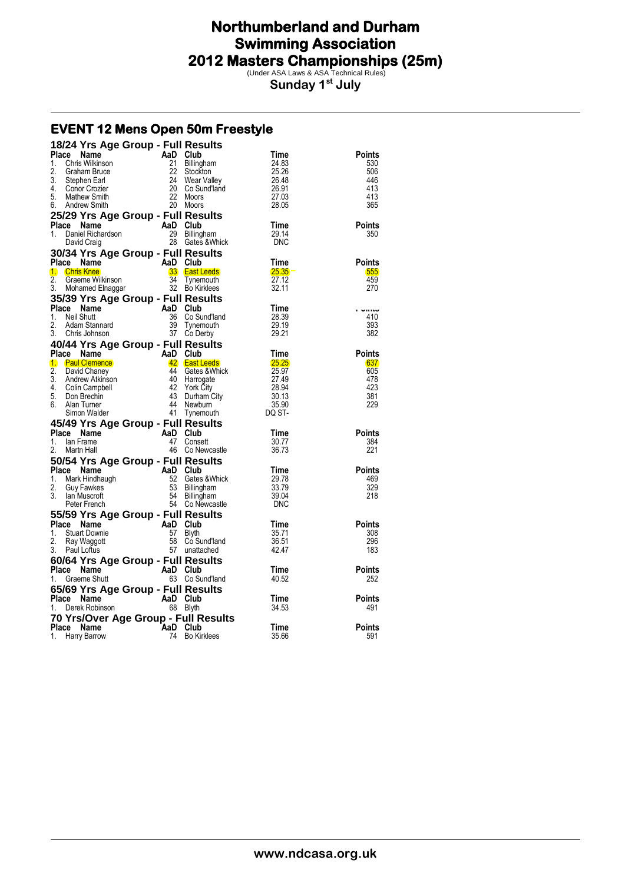**2012 Masters Championships (25m)** 

(Under ASA Laws & ASA Technical Rules) **Sunday 1st July**

### **EVENT 12 Mens Open 50m Freestyle**

| 18/24 Yrs Age Group - Full Results                                                                                                                                                                                                                            |                               |                |                      |
|---------------------------------------------------------------------------------------------------------------------------------------------------------------------------------------------------------------------------------------------------------------|-------------------------------|----------------|----------------------|
| Place<br>Company of the Manne Company of the Manne Company of the Chris Wilkinson<br>Company Capital Club<br>Chris Wilkinson<br>Stephen Earl 24 Wear Valley<br>Company 22 Stockton<br>Mathew Smith 22 Moors<br>Andrew Smith 20 Moors                          |                               | Time           | <b>Points</b>        |
| 1.                                                                                                                                                                                                                                                            |                               | 24.83          | 530                  |
| 2.                                                                                                                                                                                                                                                            |                               | 25.26          | 506                  |
| 3.<br>4.                                                                                                                                                                                                                                                      |                               | 26.48          | 446<br>413           |
| 5.                                                                                                                                                                                                                                                            | Co Sund'Iand<br>Moors         | 26.91<br>27.03 | 413                  |
| 6.<br>Andrew Smith                                                                                                                                                                                                                                            | 20 Moors                      | 28.05          | 365                  |
| 25/29 Yrs Age Group - Full Results                                                                                                                                                                                                                            |                               |                |                      |
| Place                                                                                                                                                                                                                                                         |                               | Time           | <b>Points</b>        |
| 1.                                                                                                                                                                                                                                                            | Billingham                    | 29.14          | 350                  |
| Comment Club<br>Daniel Richardson<br>David Craig<br>David Craig<br>28 Codes                                                                                                                                                                                   | 28 Gates & Whick              | DNC            |                      |
| 30/34 Yrs Age Group - Full Results                                                                                                                                                                                                                            |                               |                |                      |
| Place Name                                                                                                                                                                                                                                                    |                               | Time           | Points               |
| <b>Chris Knee</b><br>$\mathbf{1}$                                                                                                                                                                                                                             |                               | $25.35 -$      | 555                  |
| 2.                                                                                                                                                                                                                                                            |                               | 27.12          | 459                  |
| 3.                                                                                                                                                                                                                                                            |                               | 32.11          | 270                  |
| 35/39 Yrs Age Group - Full Results                                                                                                                                                                                                                            |                               |                |                      |
| Place Name<br>1. Neil Shutt<br>2. Adam Stannard<br>3. Chris Johnson<br>3. Chris Johnson<br>3. Co Derby                                                                                                                                                        |                               | Time           | $\sim$ with $\sim$   |
|                                                                                                                                                                                                                                                               | 36 Co Sund'land               | 28.39          | 410                  |
|                                                                                                                                                                                                                                                               | 39 Tynemouth                  | 29.19          | 393                  |
|                                                                                                                                                                                                                                                               |                               | 29.21          | 382                  |
| 40/44 Yrs Age Group - Full Results                                                                                                                                                                                                                            |                               |                |                      |
| Place Name<br>1974<br>ace Name AaD Club Time<br>Paul Clemence 42 East Leeds<br>David Chaney 44 Gates & Whick<br>Colin Campbell 42 York City 28.94<br>Colin Campbell 42 York City 28.94<br>Don Brechin 43 Durham City 30.13<br>Alan Tumer 44 Newburn 35.90<br> |                               |                | <b>Points</b>        |
| 1. Paul Clemence                                                                                                                                                                                                                                              |                               |                | 637                  |
| 2.<br>3.                                                                                                                                                                                                                                                      |                               |                | 605<br>478           |
| 4.                                                                                                                                                                                                                                                            |                               |                | 423                  |
| 5.                                                                                                                                                                                                                                                            |                               |                | 381                  |
| 6.                                                                                                                                                                                                                                                            |                               |                | 229                  |
|                                                                                                                                                                                                                                                               |                               |                |                      |
| 45/49 Yrs Age Group - Full Results                                                                                                                                                                                                                            |                               |                |                      |
|                                                                                                                                                                                                                                                               |                               | Time           | Points               |
| <b>Place Name</b><br>1. Ian Frame<br>2. Martn Hall 1. 16 Co.No                                                                                                                                                                                                | Consett                       | 30.77          | 384                  |
| 2.<br>Martn Hall                                                                                                                                                                                                                                              | 46 Co Newcastle               | 36.73          | 221                  |
| 50/54 Yrs Age Group - Full Results                                                                                                                                                                                                                            |                               |                |                      |
| Place Name                                                                                                                                                                                                                                                    |                               | Time           | <b>Points</b>        |
| 1.                                                                                                                                                                                                                                                            |                               | 29.78          | 469                  |
| 2.                                                                                                                                                                                                                                                            |                               | 33.79          | 329                  |
| 3.                                                                                                                                                                                                                                                            |                               | 39.04          | 218                  |
| Mark Hindhaugh<br>Mark Hindhaugh 52 Gates & Whick<br>Guy Fawkes 53 Billingham<br>Peter French 54 Billingham<br>Peter French 54 Co Newcastle                                                                                                                   |                               | DNC            |                      |
| 55/59 Yrs Age Group - Full Results                                                                                                                                                                                                                            |                               |                |                      |
| Place Name<br>Compare The Manne Capital Club<br>Stuart Downie<br>Ray Waggott 57 Blyth<br>Paul Loftus 57 Install                                                                                                                                               |                               | Time           | Points               |
| 1.                                                                                                                                                                                                                                                            |                               | 35.71          | 308                  |
| 2.<br>3.<br>Paul Loftus                                                                                                                                                                                                                                       | Co Sund'land<br>57 unattached | 36.51<br>42.47 | 296<br>183           |
|                                                                                                                                                                                                                                                               |                               |                |                      |
| <b>60/64 Yrs Age Group - Full Results<br/>Place Name AaD Club<br/>1. Graeme Shutt 63 Co Sund'land</b>                                                                                                                                                         |                               |                |                      |
|                                                                                                                                                                                                                                                               |                               | Time           | <b>Points</b><br>252 |
|                                                                                                                                                                                                                                                               | 63 Co Sund'land               | 40.52          |                      |
| 65/69 Yrs Age Group - Full Results<br>$A$ an Club<br>n                                                                                                                                                                                                        |                               |                |                      |
| Place<br>Name                                                                                                                                                                                                                                                 |                               | Time           | <b>Points</b>        |
| Derek Robinson<br>1.                                                                                                                                                                                                                                          |                               | 34.53          | 491                  |
| 70 Yrs/Over Age Group - Full Results                                                                                                                                                                                                                          |                               |                |                      |
| AaD Club<br>74 Bo Kir<br>Place Name                                                                                                                                                                                                                           | 74 Bo Kirklees                | Time           | <b>Points</b>        |
| 1. Harry Barrow                                                                                                                                                                                                                                               |                               | 35.66          | 591                  |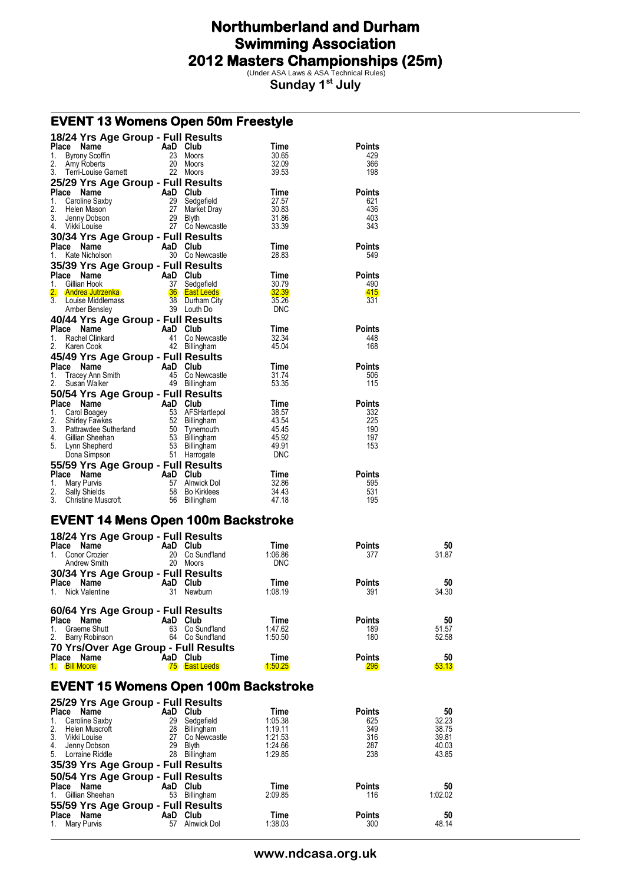**2012 Masters Championships (25m)** 

(Under ASA Laws & ASA Technical Rules) **Sunday 1st July**

### **EVENT 13 Womens Open 50m Freestyle**

| 18/24 Yrs Age Group - Full Results  |          |                                              |            |               |
|-------------------------------------|----------|----------------------------------------------|------------|---------------|
| Place Name                          | AaD Club |                                              | Time       | <b>Points</b> |
| 1.<br><b>Byrony Scoffin</b>         | 23       | Moors                                        | 30.65      | 429           |
| 2.<br>Amy Roberts                   | 20       | Moors                                        | 32.09      | 366           |
| 3.<br>Terri-Louise Garnett          |          | 22 Moors                                     | 39.53      | 198           |
| 25/29 Yrs Age Group - Full Results  |          |                                              |            |               |
| Place Name                          | AaD Club |                                              | Time       | <b>Points</b> |
| 1.<br>Caroline Saxby                | 29       | Sedgefield                                   | 27.57      | 621           |
| 2.<br>Helen Mason                   | 27       | Market Dray                                  | 30.83      | 436           |
| 3.<br>Jenny Dobson                  | 29       | Blyth                                        | 31.86      | 403           |
| 4. Vikki Louise                     | 27       | Co Newcastle                                 | 33.39      | 343           |
| 30/34 Yrs Age Group - Full Results  |          |                                              |            |               |
| Place<br>Name                       | AaD      | Club                                         | Time       | Points        |
| Kate Nicholson<br>1.                | 30       | Co Newcastle                                 | 28.83      | 549           |
| 35/39 Yrs Age Group - Full Results  |          |                                              |            |               |
| AaD Club<br>Place<br>Name           |          |                                              | Time       | <b>Points</b> |
| 1.<br>Gillian Hook                  | 37       | Sedgefield                                   | 30.79      | 490           |
| 2.<br>Andrea Jutrzenka              |          | <b>36</b> East Leeds<br><b>36</b> East Leeds | 32.39      | 415           |
| Louise Middlemass 38<br>3.          |          | Durham City                                  | 35.26      | 331           |
| Amber Bensley                       |          | 39 Louth Do                                  | <b>DNC</b> |               |
| 40/44 Yrs Age Group - Full Results  |          |                                              |            |               |
| Place Name                          | AaD      | Club                                         | Time       | <b>Points</b> |
| Rachel Clinkard<br>1.               | 41       | Co Newcastle                                 | 32.34      | 448           |
| 2.<br>Karen Cook                    | 42       | Billingham                                   | 45.04      | 168           |
| 45/49 Yrs Age Group - Full Results  |          |                                              |            |               |
| <b>Place</b><br>Name                | AaD      | Club                                         | Time       | Points        |
| Tracey Ann Smith<br>1.              | 45       | Co Newcastle                                 | 31.74      | 506           |
| 2.<br>Susan Walker                  |          | 49 Billingham                                | 53.35      | 115           |
| 50/54 Yrs Age Group - Full Results  |          |                                              |            |               |
| Place Name                          | AaD Club |                                              | Time       | <b>Points</b> |
| 1.<br>Carol Boagey                  | 53       | AFSHartlepol                                 | 38.57      | 332           |
| 2.<br><b>Shirley Fawkes</b>         | 52       | Billingham                                   | 43.54      | 225           |
| 3.<br>Pattrawdee Sutherland         |          | 50 Tynemouth                                 | 45.45      | 190           |
| 4.<br>Gillian Sheehan               |          | 53 Billingham                                | 45.92      | 197           |
| 5.<br>Lynn Shepherd                 | 53       | Billingham                                   | 49.91      | 153           |
| Dona Simpson                        |          | 51 Harrogate                                 | DNC        |               |
| 55/59 Yrs Age Group - Full Results  |          |                                              |            |               |
| Place Name<br>AaD Club<br>57 Alnwid |          |                                              | Time       | <b>Points</b> |
| 1.<br>Mary Purvis                   |          | Alnwick Dol                                  | 32.86      | 595           |
| 2.<br><b>Sally Shields</b>          | 58       | Bo Kirklees                                  | 34.43      | 531           |
|                                     |          |                                              |            |               |
| 3.<br><b>Christine Muscroft</b>     | 56       | Billingham                                   | 47.18      | 195           |

#### **EVENT 14 Mens Open 100m Backstroke**

| 18/24 Yrs Age Group - Full Results                 |     |              |            |               |       |
|----------------------------------------------------|-----|--------------|------------|---------------|-------|
| Place Name                                         |     | AaD Club     | Time       | <b>Points</b> | 50    |
| Conor Crozier<br>$1_{-}$                           | 20  | Co Sund'land | 1:06.86    | 377           | 31.87 |
| Andrew Smith                                       | 20  | Moors        | <b>DNC</b> |               |       |
| 30/34 Yrs Age Group - Full Results                 |     |              |            |               |       |
| Place Name                                         | AaD | Club         | Time       | <b>Points</b> | 50    |
| Nick Valentine<br>$1_{\cdot}$                      | 31  | Newburn      | 1:08.19    | 391           | 34.30 |
|                                                    |     |              |            |               |       |
|                                                    |     |              |            |               |       |
| 60/64 Yrs Age Group - Full Results<br>Place Name   |     | AaD Club     | Time       | <b>Points</b> | 50    |
| 1. Graeme Shutt                                    | 63  | Co Sund'land | 1:47.62    | 189           | 51.57 |
| 2. Barry Robinson                                  | 64  | Co Sund'land | 1:50.50    | 180           | 52.58 |
|                                                    |     |              |            |               |       |
| 70 Yrs/Over Age Group - Full Results<br>Place Name | AaD | Club         | Time       | <b>Points</b> | 50    |

#### **EVENT 15 Womens Open 100m Backstroke 25/29 Yrs Age Group - Full Results**

| 25/29 Yrs Age Group - Full Results |                                    |         |               |         |  |  |  |
|------------------------------------|------------------------------------|---------|---------------|---------|--|--|--|
| Place Name                         | AaD Club                           | Time    | <b>Points</b> | 50      |  |  |  |
| Caroline Saxby<br>1.               | Sedgefield<br>29                   | 1:05.38 | 625           | 32.23   |  |  |  |
| Helen Muscroft<br>2.               | 28<br>Billingham                   | 1:19.11 | 349           | 38.75   |  |  |  |
| 3.<br>Vikki Louise                 | 27<br>Co Newcastle                 | 1:21.53 | 316           | 39.81   |  |  |  |
| Jenny Dobson<br>4.                 | 29<br>Blyth                        | 1:24.66 | 287           | 40.03   |  |  |  |
| Lorraine Riddle<br>5.              | 28<br>Billingham                   | 1:29.85 | 238           | 43.85   |  |  |  |
|                                    | 35/39 Yrs Age Group - Full Results |         |               |         |  |  |  |
| 50/54 Yrs Age Group - Full Results |                                    |         |               |         |  |  |  |
| Place Name                         | AaD Club                           | Time    | <b>Points</b> | 50      |  |  |  |
| Gillian Sheehan<br>$1_{\cdot}$     | 53<br>Billingham                   | 2:09.85 | 116           | 1:02.02 |  |  |  |
| 55/59 Yrs Age Group - Full Results |                                    |         |               |         |  |  |  |
| <b>Place</b><br>Name               | AaD<br>Club                        | Time    | <b>Points</b> | 50      |  |  |  |
| Mary Purvis<br>1.                  | <b>Alnwick Dol</b><br>57           | 1:38.03 | 300           | 48.14   |  |  |  |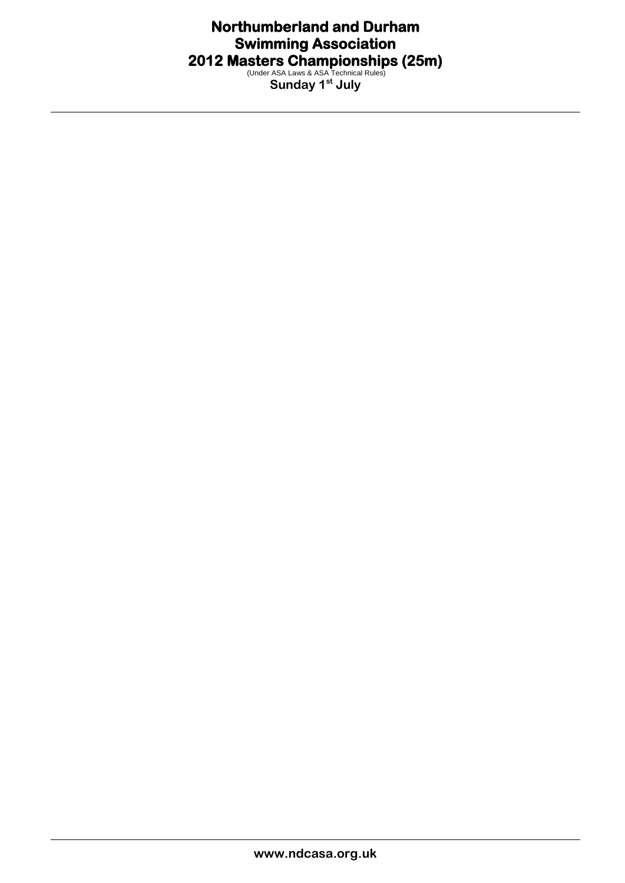### **Northumberland and Durham Swimming Association 2012 Masters Championships (25m)**

(Under ASA Laws & ASA Technical Rules) **Sunday 1st July**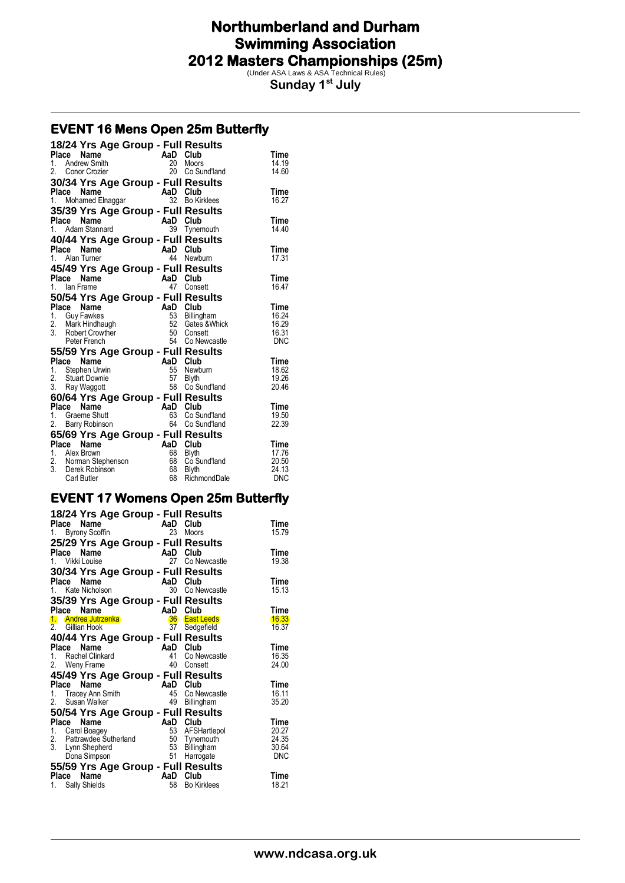**2012 Masters Championships (25m)** 

(Under ASA Laws & ASA Technical Rules) **Sunday 1st July**

### **EVENT 16 Mens Open 25m Butterfly**

|            |                                   | 18/24 Yrs Age Group - Full Results                                                                                                                                                                                                                                        |                                         |            |
|------------|-----------------------------------|---------------------------------------------------------------------------------------------------------------------------------------------------------------------------------------------------------------------------------------------------------------------------|-----------------------------------------|------------|
|            |                                   |                                                                                                                                                                                                                                                                           |                                         | Time       |
|            |                                   |                                                                                                                                                                                                                                                                           | Moors                                   | 14.19      |
|            |                                   | <b>Place Name Capital AaD Club</b><br>1. Andrew Smith 20 Moors<br>2. Conor Crozier 20 Co Su                                                                                                                                                                               | 20 Co Sund'land                         | 14.60      |
|            |                                   | 30/34 Yrs Age Group - Full Results                                                                                                                                                                                                                                        |                                         |            |
|            |                                   |                                                                                                                                                                                                                                                                           |                                         | Time       |
|            |                                   |                                                                                                                                                                                                                                                                           | 32 Bo Kirklees                          | 16.27      |
|            |                                   | Process Internative County County<br>1. Mohamed Elnaggar 32 Bo Kir<br>35/30 V re A create C<br>35/39 Yrs Age Group - Full Results                                                                                                                                         |                                         |            |
|            |                                   |                                                                                                                                                                                                                                                                           |                                         | Time       |
|            |                                   | <b>Place Name</b><br>1. Adam Stannard <b>1.</b> Adam Stannard 1. 39 Tynen                                                                                                                                                                                                 | 39 Tynemouth                            | 14.40      |
|            |                                   | 40/44 Yrs Age Group - Full Results                                                                                                                                                                                                                                        |                                         |            |
|            |                                   |                                                                                                                                                                                                                                                                           |                                         | Time       |
|            |                                   | Place Name<br>1. Alan Turner 1. Alan Newbi                                                                                                                                                                                                                                | 44 Newburn                              | 17.31      |
|            |                                   | 45/49 Yrs Age Group - Full Results                                                                                                                                                                                                                                        |                                         |            |
|            |                                   | AaD Club                                                                                                                                                                                                                                                                  |                                         | Time       |
|            | <b>Place Name</b><br>1. Ian Frame |                                                                                                                                                                                                                                                                           | 47 Consett                              | 16.47      |
|            |                                   |                                                                                                                                                                                                                                                                           |                                         |            |
|            |                                   | 50/54 Yrs Age Group - Full Results                                                                                                                                                                                                                                        |                                         | Time       |
|            |                                   |                                                                                                                                                                                                                                                                           | 53 Billingham                           | 16.24      |
|            |                                   |                                                                                                                                                                                                                                                                           | Gates & Whick<br>Consett                | 16.29      |
|            |                                   |                                                                                                                                                                                                                                                                           |                                         | 16.31      |
|            |                                   | <b>Place Name</b><br>1. Guy Fawkes<br>2. Mark Hindhaugh<br>3. Robert Crowther<br>Peter French<br><b>Proper States</b><br>Peter French<br><b>Proper States</b><br>Peter States<br>Peter States<br>Proper States<br>Proper States<br>Proper States<br>Proper States<br>Prop | <sub>50</sub> Conseπ<br>54 Co Newcastle | <b>DNC</b> |
|            |                                   | 55/59 Yrs Age Group - Full Results                                                                                                                                                                                                                                        |                                         |            |
|            |                                   | Place Name<br>1. Stephen Urwin<br>2. Stuart Downie<br>3. Ray Waggott 58 Co Sund'land                                                                                                                                                                                      |                                         | Time       |
|            |                                   |                                                                                                                                                                                                                                                                           |                                         | 18.62      |
|            |                                   |                                                                                                                                                                                                                                                                           |                                         | 19.26      |
|            |                                   |                                                                                                                                                                                                                                                                           |                                         | 20.46      |
|            |                                   | 60/64 Yrs Age Group - Full Results                                                                                                                                                                                                                                        |                                         |            |
| Place Name |                                   |                                                                                                                                                                                                                                                                           |                                         | Time       |
| 1.         |                                   |                                                                                                                                                                                                                                                                           | Co Sund'land                            | 19.50      |
| 2.         |                                   | Ce Name AaD Club<br>Graeme Shutt 63 Co Sund'land<br>Barry Robinson 64 Co Sund'land                                                                                                                                                                                        |                                         | 22.39      |
|            |                                   | 65/69 Yrs Age Group - Full Results                                                                                                                                                                                                                                        |                                         |            |
|            |                                   |                                                                                                                                                                                                                                                                           |                                         | Time       |
|            |                                   |                                                                                                                                                                                                                                                                           |                                         | 17.76      |
|            |                                   |                                                                                                                                                                                                                                                                           |                                         |            |
|            |                                   |                                                                                                                                                                                                                                                                           |                                         | 20.50      |
|            |                                   |                                                                                                                                                                                                                                                                           |                                         | 24.13      |
|            |                                   | Place Name<br>1. Alex Brown<br>2. Norman Stephenson<br>3. Derek Robinson<br>Carl Butler<br>1. Alex Brown<br>1. Alex Brown<br>1. Alex Brown<br>1. Alex Brown<br>2. Norman Stephenson<br>1. Alex Brown<br>1. Alex Brown<br>2. Norman Stephenson<br>1. Alex                  | RichmondDale                            | DNC        |

#### **EVENT 17 Womens Open 25m Butterfly**

| 18/24 Yrs Age Group - Full Results                                                                                                                                                                                                                                 |                        |       |
|--------------------------------------------------------------------------------------------------------------------------------------------------------------------------------------------------------------------------------------------------------------------|------------------------|-------|
| <b>Place Name</b><br>1. Byrony Scoffin <b>AaD Club</b><br>23 Moors                                                                                                                                                                                                 |                        | Time  |
|                                                                                                                                                                                                                                                                    |                        | 15.79 |
| 25/29 Yrs Age Group - Full Results                                                                                                                                                                                                                                 |                        |       |
| <b>Piace Name</b><br>1. Vikki Louise <b>AaD Club</b><br>27 Co Ne                                                                                                                                                                                                   |                        | Time  |
|                                                                                                                                                                                                                                                                    | Co Newcastle           | 19.38 |
| 30/34 Yrs Age Group - Full Results                                                                                                                                                                                                                                 |                        |       |
| <b>Prace Name AaD Club</b><br>1. Kate Nicholson 30 Co Ne                                                                                                                                                                                                           |                        | Time  |
|                                                                                                                                                                                                                                                                    | 30 Co Newcastle        | 15.13 |
| 35/39 Yrs Age Group - Full Results                                                                                                                                                                                                                                 |                        |       |
|                                                                                                                                                                                                                                                                    |                        | Time  |
|                                                                                                                                                                                                                                                                    | 36 East Leeds<br>16.33 |       |
| <b>riace Name Mand AaD Club</b><br><b>1. Andrea Jutrzenka 36 East L<br/>2. Gillian Hook Mand 37 Sedge</b>                                                                                                                                                          | 37 Sedgefield          | 16.37 |
| 40/44 Yrs Age Group - Full Results                                                                                                                                                                                                                                 |                        |       |
|                                                                                                                                                                                                                                                                    |                        | Time  |
| <b>Pace Name</b><br>1. Rachel Clinkard<br>2. Weny Frame<br>2. Weny Frame<br>2. Weny Frame<br>2. The Conse                                                                                                                                                          | Co Newcastle 16.35     |       |
|                                                                                                                                                                                                                                                                    | 40 Consett             | 24.00 |
| 45/49 Yrs Age Group - Full Results                                                                                                                                                                                                                                 |                        |       |
|                                                                                                                                                                                                                                                                    | Time                   |       |
| <b>Place Name</b><br>1. Tracey Ann Smith<br>2. Susan Walker<br>2. Susan Walker<br>19. Billing                                                                                                                                                                      | Co Newcastle 16.11     |       |
|                                                                                                                                                                                                                                                                    | 49 Billingham          | 35.20 |
| 50/54 Yrs Age Group - Full Results                                                                                                                                                                                                                                 |                        |       |
| Place Name                                                                                                                                                                                                                                                         |                        |       |
| 1. Carol Boagey<br>2.                                                                                                                                                                                                                                              |                        |       |
|                                                                                                                                                                                                                                                                    |                        |       |
| Carol Boagey<br>Carol Boagey<br>Carol Boagey<br>Carol Boagey<br>Carol Boagey<br>S3 AFSHartlepol<br>20.27<br>Pattrawdee Sutherland<br>Lynn Shepherd<br>53 Billingham<br>51 Harrogate<br>Mangate<br>51 Harrogate<br>Cona Simpson<br>51 Harrogate<br>3. Lynn Shepherd |                        |       |
|                                                                                                                                                                                                                                                                    |                        |       |
| 55/59 Yrs Age Group - Full Results<br>AaD Club<br>Place Name                                                                                                                                                                                                       |                        | Time  |
| $\sim 10^{-10}$<br>1. Sally Shields<br>58                                                                                                                                                                                                                          | Bo Kirklees            | 18.21 |
|                                                                                                                                                                                                                                                                    |                        |       |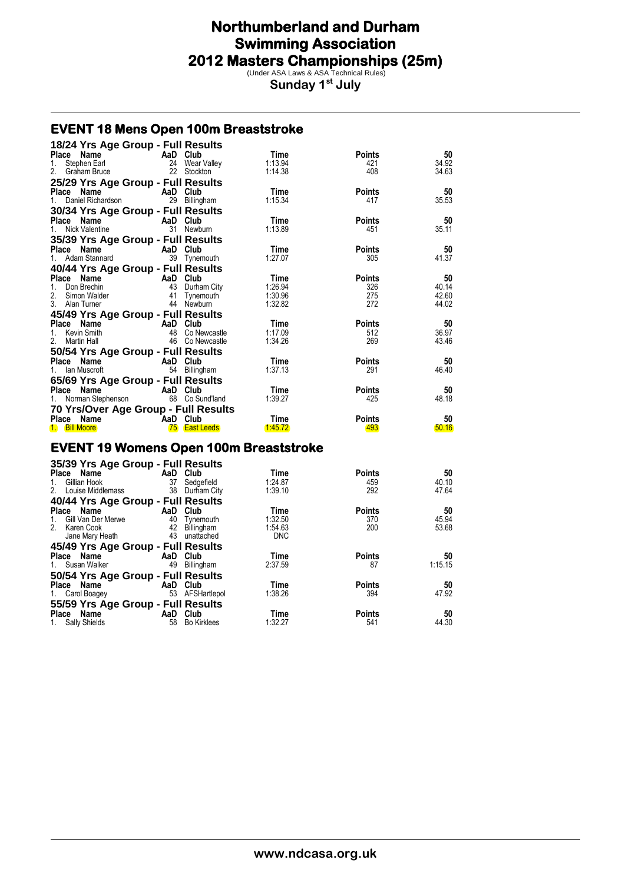**2012 Masters Championships (25m)** 

(Under ASA Laws & ASA Technical Rules) **Sunday 1st July**

### **EVENT 18 Mens Open 100m Breaststroke**

| 18/24 Yrs Age Group - Full Results                                                                            |                 |                               |                 |               |       |
|---------------------------------------------------------------------------------------------------------------|-----------------|-------------------------------|-----------------|---------------|-------|
| <b>AaD</b> Club<br>Place Name                                                                                 |                 |                               | Time            | <b>Points</b> | 50    |
| Stephen Earl<br>1.                                                                                            |                 | 24 Wear Valley<br>22 Stockton | 1:13.94         | 421           | 34.92 |
| 2. Graham Bruce                                                                                               |                 |                               | 1:14.38         | 408           | 34.63 |
| 25/29 Yrs Age Group - Full Results                                                                            |                 |                               |                 |               |       |
| Place Name                                                                                                    | AaD Club        |                               | Time            | <b>Points</b> | 50    |
| 1. Daniel Richardson 29 Billingham                                                                            |                 |                               | 1:15.34         | 417           | 35.53 |
| 30/34 Yrs Age Group - Full Results                                                                            |                 |                               |                 |               |       |
| Place Name AaD Club                                                                                           |                 |                               | Time            | Points        | 50    |
| 1. Nick Valentine                                                                                             |                 | 31 Newburn                    | 1:13.89         | 451           | 35.11 |
| 35/39 Yrs Age Group - Full Results                                                                            |                 |                               |                 |               |       |
| Place Name                                                                                                    |                 | AaD Club                      | Time            | <b>Points</b> | 50    |
| 1. Adam Stannard                                                                                              |                 | 39 Tynemouth                  | 1:27.07         | 305           | 41.37 |
| 40/44 Yrs Age Group - Full Results                                                                            |                 |                               |                 |               |       |
| AaD Club<br>Place Name                                                                                        |                 |                               | Time            | <b>Points</b> | 50    |
| Don Brechin<br>1.                                                                                             |                 | 43 Durham City                | 1:26.94         | 326           | 40.14 |
| 2. Simon Walder 41 Tynemouth                                                                                  |                 |                               | 1:30.96         | 275           | 42.60 |
| 3. Alan Turner                                                                                                |                 | 44 Newburn                    | 1:32.82         | 272           | 44.02 |
| 45/49 Yrs Age Group - Full Results                                                                            |                 |                               |                 |               |       |
| Place Name<br><b>Example 2</b> AaD Club                                                                       |                 |                               | Time            | <b>Points</b> | 50    |
| 1. Kevin Smith                                                                                                |                 | 48 Co Newcastle               | 1:17.09         | 512           | 36.97 |
| 2. Martin Hall                                                                                                |                 | 46 Co Newcastle               | 1:34.26         | 269           | 43.46 |
| 50/54 Yrs Age Group - Full Results                                                                            |                 |                               |                 |               |       |
| Place Name and the state of the state of the state of the state of the state of the state of the state of the |                 | AaD Club                      | Time            | <b>Points</b> | 50    |
| lan Muscroft <b>Exercise State</b>                                                                            |                 | 54 Billingham                 | 1:37.13         | 291           | 46.40 |
| 65/69 Yrs Age Group - Full Results                                                                            |                 |                               |                 |               |       |
| Place Name<br><b>Example 2</b> AaD Club                                                                       |                 |                               | Time            | <b>Points</b> | 50    |
| 1. Norman Stephenson                                                                                          |                 | 68 Co Sund'land               | 1:39.27         | 425           | 48.18 |
| 70 Yrs/Over Age Group - Full Results                                                                          |                 |                               |                 |               |       |
| Place Name                                                                                                    | <b>AaD</b> Club |                               | Time            | <b>Points</b> | 50    |
| 1. Bill Moore                                                                                                 |                 | 75 East Leeds                 | <u> 1.45.72</u> | 493           | 50.16 |

### **EVENT 19 Womens Open 100m Breaststroke**

| 35/39 Yrs Age Group - Full Results      |                 |                 |            |               |         |
|-----------------------------------------|-----------------|-----------------|------------|---------------|---------|
| Place Name                              |                 | AaD Club        | Time       | <b>Points</b> | 50      |
| Gillian Hook<br>1.                      | 37              | Sedgefield      | 1:24.87    | 459           | 40.10   |
| 2. Louise Middlemass                    |                 | 38 Durham City  | 1:39.10    | 292           | 47.64   |
| 40/44 Yrs Age Group - Full Results      |                 |                 |            |               |         |
| <b>Example 2</b> AaD Club<br>Place Name |                 |                 | Time       | <b>Points</b> | 50      |
| Gill Van Der Merwe<br>1.                |                 | 40 Tynemouth    | 1:32.50    | 370           | 45.94   |
| Karen Cook<br>2.                        |                 | 42 Billingham   | 1:54.63    | 200           | 53.68   |
| Jane Mary Heath                         |                 | 43 unattached   | <b>DNC</b> |               |         |
| 45/49 Yrs Age Group - Full Results      |                 |                 |            |               |         |
| Place Name                              |                 | AaD Club        | Time       | <b>Points</b> | 50      |
| 1. Susan Walker                         | 49              | Billingham      | 2:37.59    | 87            | 1:15.15 |
| 50/54 Yrs Age Group - Full Results      |                 |                 |            |               |         |
| Place Name                              |                 | AaD Club        | Time       | <b>Points</b> | 50      |
| 1. Carol Boagey                         |                 | 53 AFSHartlepol | 1:38.26    | 394           | 47.92   |
| 55/59 Yrs Age Group - Full Results      |                 |                 |            |               |         |
| Place Name                              | <b>AaD</b> Club |                 | Time       | <b>Points</b> | 50      |
|                                         |                 |                 |            |               |         |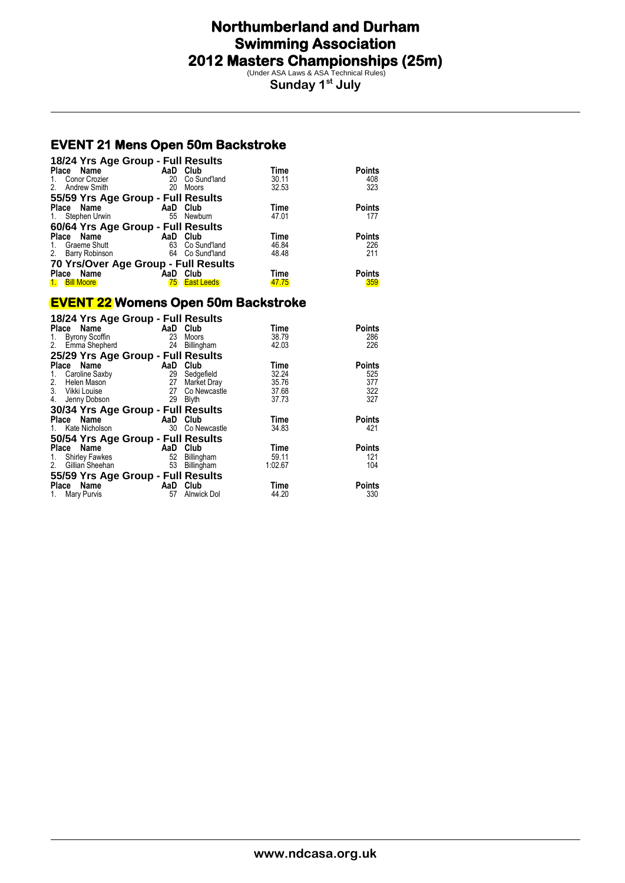**2012 Masters Championships (25m)** 

(Under ASA Laws & ASA Technical Rules) **Sunday 1st July**

### **EVENT 21 Mens Open 50m Backstroke**

| 18/24 Yrs Age Group - Full Results   |     |                   |       |               |
|--------------------------------------|-----|-------------------|-------|---------------|
| Place Name                           | AaD | Club              | Time  | <b>Points</b> |
| Conor Crozier<br>1.                  | 20  | Co Sund'land      | 30.11 | 408           |
| 2. Andrew Smith                      | 20  | Moors             | 32.53 | 323           |
| 55/59 Yrs Age Group - Full Results   |     |                   |       |               |
| Place Name                           |     | AaD Club          | Time  | Points        |
| 1. Stephen Urwin                     | 55  | Newburn           | 47.01 | 177           |
| 60/64 Yrs Age Group - Full Results   |     |                   |       |               |
| Place Name                           |     | AaD Club          | Time  | Points        |
| Graeme Shutt<br>$1_{-}$              | 63  | Co Sund'land      | 46.84 | 226           |
| 2. Barry Robinson                    |     | 64 Co Sund'land   | 48.48 | 211           |
| 70 Yrs/Over Age Group - Full Results |     |                   |       |               |
| Place Name                           | AaD | Club              | Time  | <b>Points</b> |
| <b>Bill Moore</b><br>$\mathbf{1}$    | 75  | <b>East Leeds</b> | 47.75 | 359           |

#### **EVENT 22 Womens Open 50m Backstroke**

| 18/24 Yrs Age Group - Full Results |     |              |         |               |
|------------------------------------|-----|--------------|---------|---------------|
| Place Name                         | AaD | Club         | Time    | <b>Points</b> |
| <b>Byrony Scoffin</b><br>1.        | 23  | Moors        | 38.79   | 286           |
| 2. Emma Shepherd                   | 24  | Billingham   | 42.03   | 226           |
| 25/29 Yrs Age Group - Full Results |     |              |         |               |
| Name<br><b>Place</b>               | AaD | Club         | Time    | <b>Points</b> |
| Caroline Saxby<br>1.               | 29  | Sedgefield   | 32.24   | 525           |
| 2.<br>Helen Mason                  | 27  | Market Dray  | 35.76   | 377           |
| 3.<br>Vikki Louise                 | 27  | Co Newcastle | 37.68   | 322           |
| 4.<br>Jenny Dobson                 | 29  | Blyth        | 37.73   | 327           |
| 30/34 Yrs Age Group - Full Results |     |              |         |               |
| Place Name                         | AaD | Club         | Time    | <b>Points</b> |
| Kate Nicholson<br>1.               | 30  | Co Newcastle | 34.83   | 421           |
| 50/54 Yrs Age Group - Full Results |     |              |         |               |
| Place Name                         | AaD | Club         | Time    | <b>Points</b> |
| <b>Shirley Fawkes</b><br>1.        | 52  | Billingham   | 59.11   | 121           |
| 2.<br>Gillian Sheehan              | 53  | Billingham   | 1:02.67 | 104           |
| 55/59 Yrs Age Group - Full Results |     |              |         |               |
| Place Name                         | AaD | Club         | Time    | Points        |
| Mary Purvis<br>1.                  | 57  | Alnwick Dol  | 44.20   | 330           |
|                                    |     |              |         |               |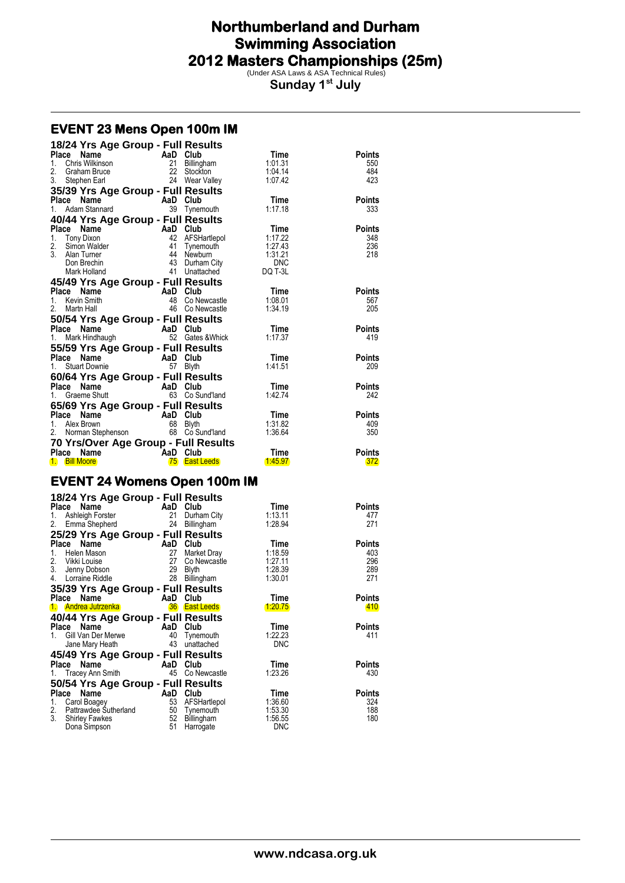**2012 Masters Championships (25m)** 

(Under ASA Laws & ASA Technical Rules) **Sunday 1st July**

### **EVENT 23 Mens Open 100m IM**

| 18/24 Yrs Age Group - Full Results                                                                                                                                                                                                                     |          |                                |                       |                      |
|--------------------------------------------------------------------------------------------------------------------------------------------------------------------------------------------------------------------------------------------------------|----------|--------------------------------|-----------------------|----------------------|
|                                                                                                                                                                                                                                                        |          |                                |                       | Points               |
|                                                                                                                                                                                                                                                        |          |                                |                       | 550                  |
|                                                                                                                                                                                                                                                        |          |                                |                       | 484                  |
|                                                                                                                                                                                                                                                        |          |                                |                       | 423                  |
| 35/39 Yrs Age Group - Full Results                                                                                                                                                                                                                     |          |                                |                       |                      |
|                                                                                                                                                                                                                                                        |          |                                | Time<br>1:17.18       | <b>Points</b>        |
| riace Name<br>1. Adam Stannard 39 Tynem<br>40444 Year                                                                                                                                                                                                  |          | 39 Tynemouth                   |                       | 333                  |
| 40/44 Yrs Age Group - Full Results                                                                                                                                                                                                                     |          |                                |                       |                      |
|                                                                                                                                                                                                                                                        |          |                                |                       | <b>Points</b><br>348 |
|                                                                                                                                                                                                                                                        |          |                                |                       | 236                  |
|                                                                                                                                                                                                                                                        |          |                                |                       | 218                  |
|                                                                                                                                                                                                                                                        |          |                                |                       |                      |
|                                                                                                                                                                                                                                                        |          |                                |                       |                      |
| Find Time<br>Place Name and Club Time<br>1. Tony Dixon<br>2. Simon Walder<br>2. Simon Walder<br>3. Alan Turner<br>2. Simon Walder<br>2. Simon Walder<br>2. Simon Walder<br>2. Simon Mark Holland<br>2. Dixibility<br>2. Simon Peut Adventure<br>2. Dix |          |                                |                       |                      |
| <b>Place Name AaD Club</b><br>1. Kevin Smith 48 Co Newcastle<br>2. Martn Hall 46 Co Newcastle                                                                                                                                                          |          |                                | Time                  | Points               |
|                                                                                                                                                                                                                                                        |          |                                | 1:08.01<br>1:34.19    | 567                  |
|                                                                                                                                                                                                                                                        |          |                                |                       | 205                  |
| 50/54 Yrs Age Group - Full Results                                                                                                                                                                                                                     |          |                                |                       |                      |
| <b>Place Name Community AaD Club Club Time</b><br>1. Mark Hindhaugh 62 Gates & Whick 1:17.37                                                                                                                                                           |          |                                |                       | <b>Points</b>        |
|                                                                                                                                                                                                                                                        |          |                                |                       | 419                  |
| 1. Mark Hindnaugn<br>55/59 Yrs Age Group - Full Results<br>AaD Club                                                                                                                                                                                    |          |                                |                       |                      |
|                                                                                                                                                                                                                                                        |          |                                | <b>Time</b>           | <b>Points</b>        |
|                                                                                                                                                                                                                                                        |          |                                | 1:41.51               | 209                  |
| 60/64 Yrs Age Group - Full Results                                                                                                                                                                                                                     |          |                                |                       |                      |
| <b>Place Name AaD Club</b><br>1. Graeme Shutt 63 Co Sund'land                                                                                                                                                                                          |          |                                | Time                  | <b>Points</b>        |
|                                                                                                                                                                                                                                                        |          |                                | 1:42.74               | 242                  |
| 65/69 Yrs Age Group - Full Results                                                                                                                                                                                                                     |          |                                |                       |                      |
| <b>Place Name AaD Club</b><br>1. Alex Brown 68 Blyth<br>2. Norman Stephenson 68 Co Sund'land                                                                                                                                                           |          |                                | Time<br>1:31.82       | <b>Points</b>        |
|                                                                                                                                                                                                                                                        |          |                                | 1:36.64               | 409<br>350           |
|                                                                                                                                                                                                                                                        |          |                                |                       |                      |
|                                                                                                                                                                                                                                                        |          |                                |                       |                      |
| 70 Yrs/Over Age Group - Full Results                                                                                                                                                                                                                   |          |                                |                       |                      |
|                                                                                                                                                                                                                                                        |          |                                | Time                  | <b>Points</b>        |
| Place Name<br>Place Name<br><b>1 Bill Moore</b> 75 East Leeds                                                                                                                                                                                          |          |                                | (1.45.97)             | 372                  |
|                                                                                                                                                                                                                                                        |          |                                |                       |                      |
| <b>EVENT 24 Womens Open 100m IM</b>                                                                                                                                                                                                                    |          |                                |                       |                      |
|                                                                                                                                                                                                                                                        |          |                                |                       |                      |
| 18/24 Yrs Age Group - Full Results                                                                                                                                                                                                                     |          |                                | Time                  | Points               |
|                                                                                                                                                                                                                                                        |          |                                | 1:13.11               | 477                  |
| <b>Place Name AaD Club</b><br>1. Ashleigh Forster 21 Durham City<br>2. Emma Shepherd 24 Billingham                                                                                                                                                     |          |                                | 1:28.94               | 271                  |
|                                                                                                                                                                                                                                                        |          |                                |                       |                      |
|                                                                                                                                                                                                                                                        |          |                                |                       | <b>Points</b>        |
|                                                                                                                                                                                                                                                        |          |                                |                       | 403                  |
|                                                                                                                                                                                                                                                        |          |                                |                       | 296                  |
|                                                                                                                                                                                                                                                        |          |                                |                       | 289                  |
| 25/29 Yrs Age Group - Full Results<br>Place Name AaD Club Time<br>1. Helen Mason 27 Market Dray 1:18.59<br>2. Vikki Louise 27 Co Newcastle 1:27.11<br>3. Jenny Dobson 29 Blyth 1:28.39<br>4. Loraine Riddle 28. Billingham 1:30.01                     |          |                                |                       | 271                  |
|                                                                                                                                                                                                                                                        |          |                                |                       |                      |
| 1. Andrea Jutrzenka                                                                                                                                                                                                                                    |          |                                | Time<br>1.20.75       | <b>Points</b><br>410 |
| 35/39 Yrs Age Group - Full Results<br>Place Name AaD Club<br>1. Andrea Jutrzenka (36 East Leeds)<br>$AaD$ Club                                                                                                                                         |          |                                |                       |                      |
| 40/44 Yrs Age Group - Full Results<br>Place<br>Name                                                                                                                                                                                                    | AaD      | Club                           |                       | Points               |
| Gill Van Der Merwe<br>1.                                                                                                                                                                                                                               | 40       | Tynemouth                      | Time<br>1:22.23       | 411                  |
| Jane Mary Heath                                                                                                                                                                                                                                        | 43       | unattached                     | DNC                   |                      |
| 45/49 Yrs Age Group - Full Results                                                                                                                                                                                                                     |          |                                |                       |                      |
| Place<br>Name                                                                                                                                                                                                                                          | AaD      | Club                           | Time                  | Points               |
| <b>Tracey Ann Smith</b><br>1.                                                                                                                                                                                                                          | 45       | Co Newcastle                   | 1:23.26               | 430                  |
| 50/54 Yrs Age Group - Full Results                                                                                                                                                                                                                     |          |                                |                       |                      |
| Place<br>Name                                                                                                                                                                                                                                          | AaD      | Club                           | Time                  | <b>Points</b>        |
| 1.<br>Carol Boagey                                                                                                                                                                                                                                     | 53       | AFSHartlepol                   | 1:36.60               | 324                  |
| 2.<br>Pattrawdee Sutherland                                                                                                                                                                                                                            | 50       | Tynemouth                      | 1:53.30               | 188                  |
| 3.<br><b>Shirley Fawkes</b><br>Dona Simpson                                                                                                                                                                                                            | 52<br>51 | <b>Billingham</b><br>Harrogate | 1:56.55<br><b>DNC</b> | 180                  |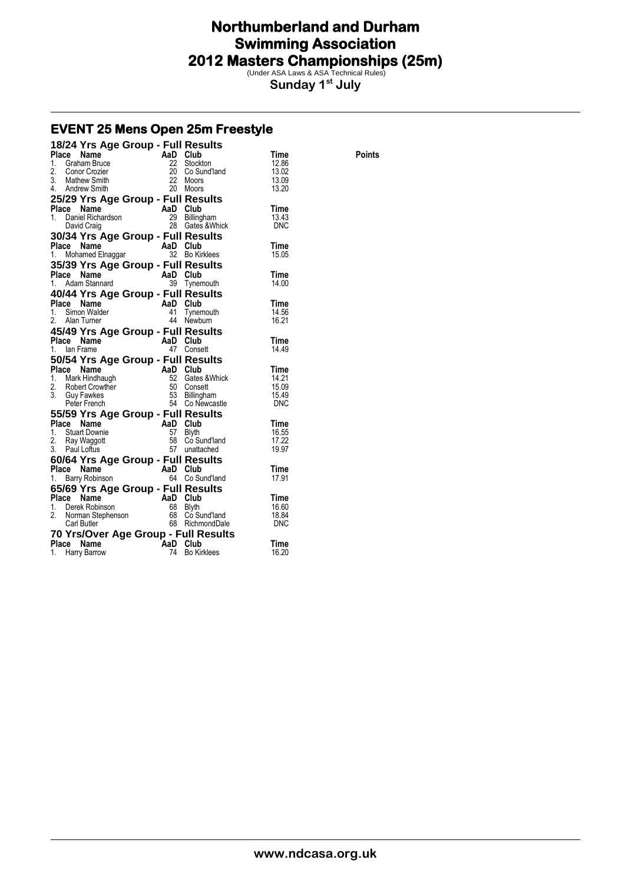**2012 Masters Championships (25m)** 

(Under ASA Laws & ASA Technical Rules) **Sunday 1st July**

### **EVENT 25 Mens Open 25m Freestyle**

| 18/24 Yrs Age Group - Full Results                                                                                                                                   |          |                                                   |                |        |
|----------------------------------------------------------------------------------------------------------------------------------------------------------------------|----------|---------------------------------------------------|----------------|--------|
| Place<br><b>Ce Name</b><br>Graham Bruce<br>Conor Crozier<br>Conor Crozier                                                                                            | AaD Club |                                                   | Time           | Points |
| 1.                                                                                                                                                                   | 22       | Stockton                                          | 12.86          |        |
| 2.                                                                                                                                                                   |          | 20 Co Sund'land                                   | 13.02          |        |
| 3.<br>Mathew Smith<br>Andrew Smith                                                                                                                                   |          | 22 Moors<br>20 Moors                              | 13.09<br>13.20 |        |
| 4. Andrew Smith                                                                                                                                                      |          |                                                   |                |        |
| 25/29 Yrs Age Group - Full Results                                                                                                                                   |          |                                                   |                |        |
| Place Name<br><b>Ce Name</b><br>Daniel Richardson<br>29 Billing<br>1.                                                                                                |          |                                                   | Time<br>13.43  |        |
| David Craig                                                                                                                                                          |          | 29 Billingham<br>28 Gates & Whick                 | DNC            |        |
|                                                                                                                                                                      |          |                                                   |                |        |
| 30/34 Yrs Age Group - Full Results<br>Place Name                                                                                                                     | AaD Club |                                                   |                |        |
| Mohamed Elnaggar<br>1.                                                                                                                                               |          | 32 Bo Kirklees                                    | Time<br>15.05  |        |
|                                                                                                                                                                      |          |                                                   |                |        |
| 35/39 Yrs Age Group - Full Results<br>Place Name                                                                                                                     | AaD Club |                                                   | Time           |        |
| 1. Adam Stannard                                                                                                                                                     |          | 39 Tynemouth                                      | 14.00          |        |
|                                                                                                                                                                      |          |                                                   |                |        |
| 40/44 Yrs Age Group - Full Results<br>Place Name                                                                                                                     | AaD Club |                                                   | Time           |        |
| be <b>name</b><br>Simon Walder<br>Alan Turner<br>$1_{-}$                                                                                                             | 41       | Tynemouth                                         | 14.56          |        |
| 2.                                                                                                                                                                   |          | 44 Newburn                                        | 16.21          |        |
| 45/49 Yrs Age Group - Full Results                                                                                                                                   |          |                                                   |                |        |
| Place Name                                                                                                                                                           | AaD Club |                                                   | Time           |        |
| $\overline{\phantom{a}}$<br>1.<br>lan Frame                                                                                                                          |          | 47 Consett                                        | 14.49          |        |
| 50/54 Yrs Age Group - Full Results                                                                                                                                   |          |                                                   |                |        |
| Place Name<br>Ce Name<br>Mark Hindhaugh<br>Mark Hindhaugh 52 Gates & Whick<br>Robert Crowther 50 Consett<br>Guy Fawkes 53 Billingham<br>Peter French 54 Co Newcastle |          |                                                   | Time           |        |
| 1.                                                                                                                                                                   |          |                                                   | 14.21          |        |
| 2.                                                                                                                                                                   |          |                                                   | 15.09          |        |
| 3.                                                                                                                                                                   |          |                                                   | 15.49          |        |
|                                                                                                                                                                      |          | יסט Billingham<br>54 Co Newcastle<br>היי היים היי | DNC            |        |
| <b>Feler Fremon<br/>55/59 Yrs Age Group - Full Results</b><br>4aD Club                                                                                               |          |                                                   |                |        |
| <b>Comparison Club</b><br>Stuart Downie<br>Ray Waggott 68 Co Su                                                                                                      |          |                                                   | Time           |        |
| 1.                                                                                                                                                                   |          |                                                   | 16.55          |        |
| 2.<br>Ray Waggott<br>Paul Leftus                                                                                                                                     |          | 58 Co Sund'land                                   | 17.22          |        |
| 3.<br>Paul Loftus                                                                                                                                                    |          | 57 unattached                                     | 19.97          |        |
| 60/64 Yrs Age Group - Full Results                                                                                                                                   |          |                                                   |                |        |
| Place Name                                                                                                                                                           | AaD Club |                                                   | Time           |        |
| <b>Barry Robinson</b><br>1.                                                                                                                                          |          | 64 Co Sund'land                                   | 17.91          |        |
| 65/69 Yrs Age Group - Full Results                                                                                                                                   |          |                                                   |                |        |
| Place                                                                                                                                                                |          |                                                   | Time           |        |
| <b>Ce Name 1988</b><br>Derek Robinson<br>Norman Stephenson 68 Blyth<br>Carl Rutler 68 Richmond Dale<br>1.<br>2.                                                      |          |                                                   | 16.60<br>18.84 |        |
| Carl Butler                                                                                                                                                          |          | 68 RichmondDale                                   | DNC            |        |
|                                                                                                                                                                      |          |                                                   |                |        |
| 70 Yrs/Over Age Group - Full Results<br>Place Name                                                                                                                   | AaD Club |                                                   | Time           |        |
| 1. Harry Barrow                                                                                                                                                      |          | 74 Bo Kirklees                                    | 16.20          |        |
|                                                                                                                                                                      |          |                                                   |                |        |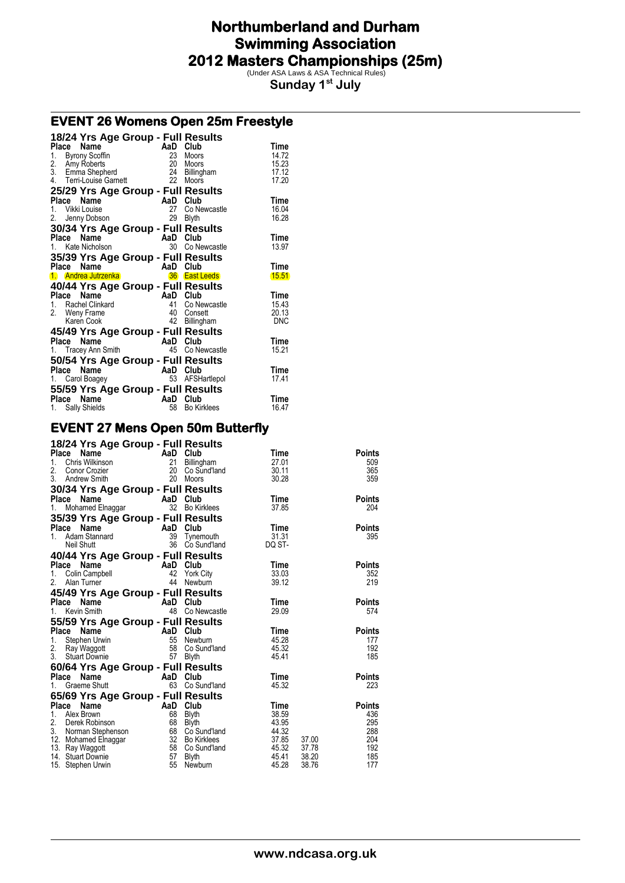**2012 Masters Championships (25m)** 

(Under ASA Laws & ASA Technical Rules) **Sunday 1st July**

#### **EVENT 26 Womens Open 25m Freestyle**

| 18/24 Yrs Age Group - Full Results                                                                                                                                                                                             |                |                 |            |
|--------------------------------------------------------------------------------------------------------------------------------------------------------------------------------------------------------------------------------|----------------|-----------------|------------|
| <b>Place Name AaD Club</b><br>1. Byrony Scoffin 23 Moors<br>2. Amy Roberts 20 Moors<br>3. Emma Shepherd 24 Billingh<br>4. Terri-Louise Gamett 22 Moors                                                                         |                |                 | Time       |
|                                                                                                                                                                                                                                |                |                 | 14.72      |
|                                                                                                                                                                                                                                |                |                 | 15.23      |
|                                                                                                                                                                                                                                |                | Billingham      | 17.12      |
|                                                                                                                                                                                                                                |                |                 | 17.20      |
| 25/29 Yrs Age Group - Full Results                                                                                                                                                                                             |                |                 |            |
| Place Name                                                                                                                                                                                                                     |                |                 | Time       |
| 1. Vikki Louise                                                                                                                                                                                                                |                | 27 Co Newcastle | 16.04      |
| Ce Name - AaD Club<br>Vikki Louise - 27 Co Ne<br>Jenny Dobson - 29 Blyth<br>2.                                                                                                                                                 |                |                 | 16.28      |
| 30/34 Yrs Age Group - Full Results                                                                                                                                                                                             |                |                 |            |
| Place Name                                                                                                                                                                                                                     | AaD Club       |                 | Time       |
| <b>Place Name A</b><br>1. Kate Nicholson                                                                                                                                                                                       |                | 30 Co Newcastle | 13.97      |
| 35/39 Yrs Age Group - Full Results                                                                                                                                                                                             |                |                 |            |
|                                                                                                                                                                                                                                |                |                 | Time       |
|                                                                                                                                                                                                                                |                | 36 East Leeds   | 15.51      |
| 40/44 Yrs Age Group - Full Results                                                                                                                                                                                             |                |                 |            |
| Place Name                                                                                                                                                                                                                     |                |                 | Time       |
| 1.                                                                                                                                                                                                                             |                | Co Newcastle    | 15.43      |
| 2. Weny Frame                                                                                                                                                                                                                  |                |                 |            |
|                                                                                                                                                                                                                                |                | Consett         | 20.13      |
|                                                                                                                                                                                                                                |                | Billingham      | <b>DNC</b> |
| Compare Compare Compare Compare Compare Compare Compare Compare Compare Compare Compare Compare Compare Compare Compare Compare Compare Compare Compare Compare Compare Compare Compare Compare Compare Compare Compare Compar |                |                 |            |
| 45/49 Yrs Age Group - Full Results                                                                                                                                                                                             |                |                 | Time       |
| Place Name<br>1. Tracey Ann Smith<br>1. Tracey Ann Smith<br>15 Co Ne                                                                                                                                                           |                | 45 Co Newcastle | 15.21      |
|                                                                                                                                                                                                                                |                |                 |            |
| 50/54 Yrs Age Group - Full Results                                                                                                                                                                                             |                | Club            | Time       |
|                                                                                                                                                                                                                                |                | 53 AFSHartlepol | 17.41      |
| <b>Place Name</b><br>1. Carol Boagey 63                                                                                                                                                                                        |                |                 |            |
| 55/59 Yrs Age Group - Full Results<br>Place<br>Name<br>$\sim 10^{-10}$<br>1. Sally Shields                                                                                                                                     | AaD Club<br>58 | Bo Kirklees     | Time       |

### **EVENT 27 Mens Open 50m Butterfly**

| 18/24 Yrs Age Group - Full Results                                                                                                                                                                                                                     |    |                 |             |               |
|--------------------------------------------------------------------------------------------------------------------------------------------------------------------------------------------------------------------------------------------------------|----|-----------------|-------------|---------------|
| Compare Compare Compare Compare Contribution Control of Compare Compare Compare Compare Compare Compare Compar<br>Control Compare Compare Compare Compare Compare Compare Compare Compare Compare Compare Compare Compare Compa<br><br>Place           |    |                 | Time        | <b>Points</b> |
| 1.                                                                                                                                                                                                                                                     |    | Billingham      | 27.01       | 509           |
| 2.<br>Conor Crozier                                                                                                                                                                                                                                    |    | Co Sund'land    | 30.11       | 365           |
| 3. Andrew Smith                                                                                                                                                                                                                                        | 20 | Moors           | 30.28       | 359           |
| 30/34 Yrs Age Group - Full Results                                                                                                                                                                                                                     |    |                 |             |               |
| Place Name                                                                                                                                                                                                                                             |    |                 | Time        | <b>Points</b> |
| <b>Ce Name</b><br>Mohamed Elnaggar <b>AaD Club</b><br>132 Bo Kir<br>1.                                                                                                                                                                                 |    | 32 Bo Kirklees  | 37.85       | 204           |
| 35/39 Yrs Age Group - Full Results                                                                                                                                                                                                                     |    |                 |             |               |
| Place Name                                                                                                                                                                                                                                             |    |                 | Time        | <b>Points</b> |
| $1_{\cdot}$                                                                                                                                                                                                                                            |    | Tynemouth       | 31.31       | 395           |
| Ce Name<br>Adam Stannard<br>Neil Shutt<br>Neil Shutt<br>36 Co Su                                                                                                                                                                                       |    | Co Sund'Iand    | DQ ST-      |               |
| 40/44 Yrs Age Group - Full Results                                                                                                                                                                                                                     |    |                 |             |               |
| Place Name                                                                                                                                                                                                                                             |    |                 | Time        | <b>Points</b> |
| 1.                                                                                                                                                                                                                                                     |    | York City       | 33.03       | 352           |
| <b>Ce Name Community Community Community Community Community Community Community Community Community Community Community Community Community Community Community Community Community Community Community Community Community Com</b><br>2. Alan Turner |    | Newburn         | 39.12       | 219           |
|                                                                                                                                                                                                                                                        |    |                 |             |               |
| 45/49 Yrs Age Group - Full Results<br>Place Name                                                                                                                                                                                                       |    |                 | Time        | <b>Points</b> |
| AaD Club<br>48 Co Newcastle<br>1. Kevin Smith                                                                                                                                                                                                          |    |                 | 29.09       | 574           |
|                                                                                                                                                                                                                                                        |    |                 |             |               |
| 55/59 Yrs Age Group - Full Results                                                                                                                                                                                                                     |    |                 |             |               |
| Place                                                                                                                                                                                                                                                  |    |                 | <b>Time</b> | <b>Points</b> |
| 1.                                                                                                                                                                                                                                                     |    | Newburn         | 45.28       | 177           |
| <b>Ce Name AaD Club</b><br>Stephen Urwin<br>Exay Waggott<br>Stuart Documic <b>58</b> Co Su<br>2. Ray Waggott                                                                                                                                           |    | Co Sund'land    | 45.32       | 192           |
| 3.<br>Stuart Downie 57                                                                                                                                                                                                                                 |    | Blyth           | 45.41       | 185           |
| 60/64 Yrs Age Group - Full Results                                                                                                                                                                                                                     |    |                 |             |               |
| <b>Place Name</b><br>1. Graeme Shutt 63 Co Su                                                                                                                                                                                                          |    |                 | <b>Time</b> | <b>Points</b> |
|                                                                                                                                                                                                                                                        |    | 63 Co Sund'land | 45.32       | 223           |
| 65/69 Yrs Age Group - Full Results                                                                                                                                                                                                                     |    |                 |             |               |
| Place<br>Name<br><b>Example 2</b> AaD                                                                                                                                                                                                                  |    | Club            | Time        | <b>Points</b> |
| Alex Brown<br>1.                                                                                                                                                                                                                                       | 68 | Blyth           | 38.59       | 436           |
| 2.<br>68<br>Derek Robinson                                                                                                                                                                                                                             |    | Blyth           | 43.95       | 295           |
|                                                                                                                                                                                                                                                        |    |                 | 44.32       | 288           |
|                                                                                                                                                                                                                                                        |    |                 | 37.85       | 204<br>37.00  |
|                                                                                                                                                                                                                                                        |    |                 | 45.32       | 37.78<br>192  |
| 2. Norman Stephenson<br>3. Norman Stephenson<br>12. Mohamed Elnaggar<br>13. Ray Waggott<br>14. Stuart Downie<br>15. Stephen Urwin<br>15. Stephen Urwin<br>15. Newburn                                                                                  |    |                 | 45.41 38.20 | 185           |
|                                                                                                                                                                                                                                                        |    |                 | 45.28       | 38.76<br>177  |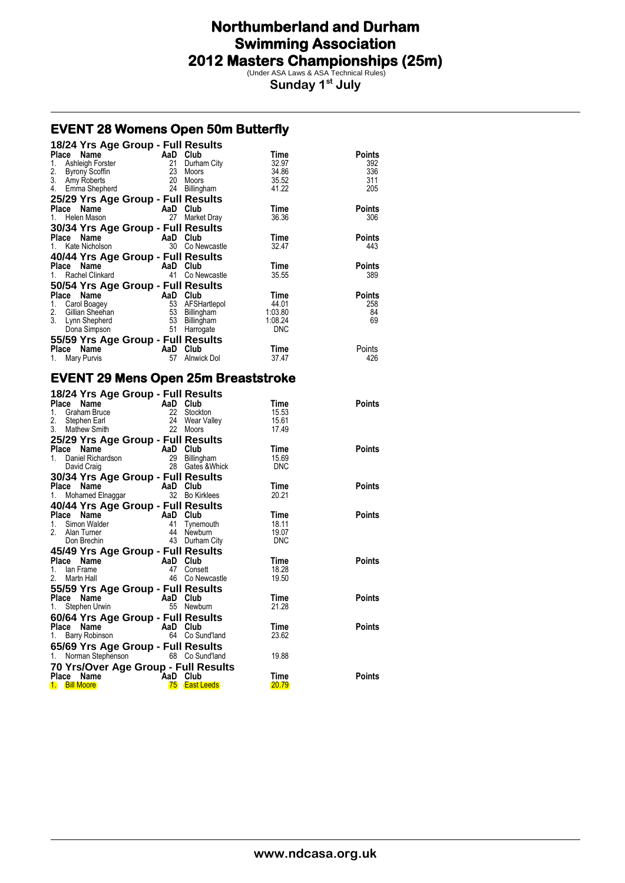**2012 Masters Championships (25m)** 

(Under ASA Laws & ASA Technical Rules) **Sunday 1st July**

### **EVENT 28 Womens Open 50m Butterfly**

| 18/24 Yrs Age Group - Full Results  |                      |                 |            |               |
|-------------------------------------|----------------------|-----------------|------------|---------------|
| <b>Example 2</b><br>Place Name      |                      | Club            | Time       | Points        |
| Ashleigh Forster<br>1.              | 21                   | Durham City     | 32.97      | 392           |
| 2. Byrony Scoffin<br>3. Amy Roberts | 23                   | Moors           | 34.86      | 336           |
|                                     | 20                   | Moors           | 35.52      | 311           |
| 4. Emma Shepherd                    | 24                   | Billingham      | 41.22      | 205           |
| 25/29 Yrs Age Group - Full Results  |                      |                 |            |               |
| Place Name                          | <b>Example 2</b> AaD | Club            | Time       | <b>Points</b> |
| 1. Helen Mason                      | 27                   | Market Dray     | 36.36      | 306           |
| 30/34 Yrs Age Group - Full Results  |                      |                 |            |               |
| <b>Example 2</b> AaD<br>Place Name  |                      | Club            | Time       | <b>Points</b> |
| 1. Kate Nicholson                   | 30                   | Co Newcastle    | 32.47      | 443           |
| 40/44 Yrs Age Group - Full Results  |                      |                 |            |               |
| Place<br>Name                       | AaD                  | Club            | Time       | <b>Points</b> |
| Rachel Clinkard<br>1.               | 41                   | Co Newcastle    | 35.55      | 389           |
| 50/54 Yrs Age Group - Full Results  |                      |                 |            |               |
| Place Name                          | AaD                  | Club            | Time       | Points        |
| Carol Boagey<br>1.                  |                      | 53 AFSHartlepol | 44.01      | 258           |
| 2. Gillian Sheehan                  | 53                   | Billingham      | 1:03.80    | 84            |
| 3.<br>Lynn Shepherd                 | 53                   | Billingham      | 1:08.24    | 69            |
| Dona Simpson                        | 51                   | Harrogate       | <b>DNC</b> |               |
| 55/59 Yrs Age Group - Full Results  |                      |                 |            |               |
| Place Name                          | AaD                  | Club            | Time       | Points        |
| 1. Mary Purvis                      | 57                   | Alnwick Dol     | 37.47      | 426           |
|                                     |                      |                 |            |               |

### **EVENT 29 Mens Open 25m Breaststroke**

| 18/24 Yrs Age Group - Full Results                                                                        |                 |            |               |
|-----------------------------------------------------------------------------------------------------------|-----------------|------------|---------------|
| Place Name<br>1. Graham Bruce<br>2. Stephen Earl<br>3. Mathew Smith<br>2. Moors                           |                 | Time       | Points        |
|                                                                                                           |                 | 15.53      |               |
|                                                                                                           |                 | 15.61      |               |
|                                                                                                           |                 | 17.49      |               |
| 25/29 Yrs Age Group - Full Results                                                                        |                 |            |               |
| <b>Place Name AaD Club</b><br>1. Daniel Richardson 29 Billingham<br>David Craig 28 Gates & Whick          |                 | Time       | <b>Points</b> |
|                                                                                                           |                 | 15.69      |               |
|                                                                                                           |                 | DNC        |               |
| 30/34 Yrs Age Group - Full Results                                                                        |                 |            |               |
| Place Name AaD Club                                                                                       |                 | Time       | Points        |
| 1. Mohamed Elnaggar 32 Bo Kirklees                                                                        |                 | 20.21      |               |
| 40/44 Yrs Age Group - Full Results                                                                        |                 |            |               |
| <b>Example 2 AaD</b> Club<br>Place<br>Name                                                                |                 | Time       | <b>Points</b> |
| $1_{\cdot}$                                                                                               | Tynemouth 18.11 |            |               |
| $\mathfrak{p}$                                                                                            |                 | 19.07      |               |
| Simon Walder <b>141</b> Tynemouth<br>Alan Turner <b>144</b> Newburn<br>Don Brechin <b>135 Durham City</b> |                 | <b>DNC</b> |               |
| 45/49 Yrs Age Group - Full Results                                                                        |                 |            |               |
| <b>Place Name AaD Club</b><br>1. Ian Frame 47 Consett<br>2. Martn Hall 46 Co Newcastle                    |                 | Time       | Points        |
|                                                                                                           |                 | 18.28      |               |
|                                                                                                           |                 | 19.50      |               |
| 55/59 Yrs Age Group - Full Results                                                                        |                 |            |               |
|                                                                                                           |                 | Time       | Points        |
| <b>Place Name</b><br>1. Stephen Urwin <b>AaD Club</b><br>55 Newburn                                       |                 | 21.28      |               |
| 60/64 Yrs Age Group - Full Results                                                                        |                 |            |               |
| Place Name<br>AaD Club                                                                                    |                 | Time       | <b>Points</b> |
| 1. Barry Robinson 64 Co Sund'land                                                                         |                 | 23.62      |               |
| 65/69 Yrs Age Group - Full Results                                                                        |                 |            |               |
| 1. Norman Stephenson 68 Co Sund'land                                                                      |                 | 19.88      |               |
| 70 Yrs/Over Age Group - Full Results                                                                      |                 |            |               |
| Place Name AaD Club                                                                                       |                 | Time       | Points        |
| 1. Bill Moore                                                                                             | 75 East Leeds   | 20.79      |               |
|                                                                                                           |                 |            |               |